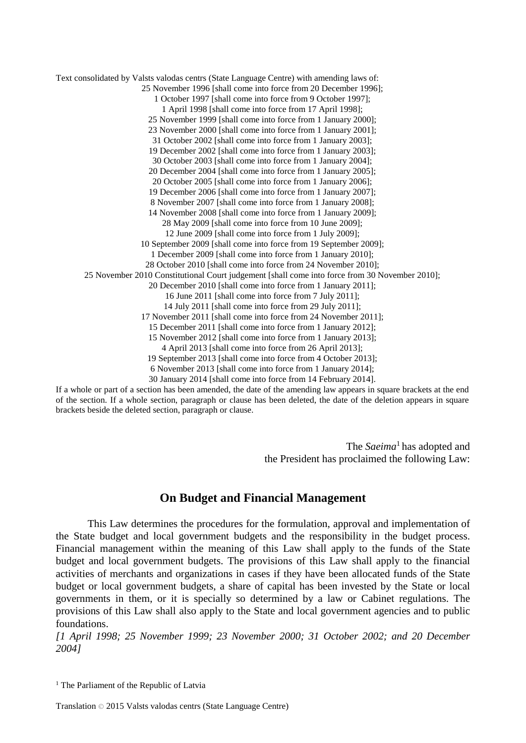Text consolidated by Valsts valodas centrs (State Language Centre) with amending laws of: 25 November 1996 [shall come into force from 20 December 1996]; 1 October 1997 [shall come into force from 9 October 1997]; 1 April 1998 [shall come into force from 17 April 1998]; 25 November 1999 [shall come into force from 1 January 2000]; 23 November 2000 [shall come into force from 1 January 2001]; 31 October 2002 [shall come into force from 1 January 2003]; 19 December 2002 [shall come into force from 1 January 2003]; 30 October 2003 [shall come into force from 1 January 2004]; 20 December 2004 [shall come into force from 1 January 2005]; 20 October 2005 [shall come into force from 1 January 2006]; 19 December 2006 [shall come into force from 1 January 2007]; 8 November 2007 [shall come into force from 1 January 2008]; 14 November 2008 [shall come into force from 1 January 2009]; 28 May 2009 [shall come into force from 10 June 2009]; 12 June 2009 [shall come into force from 1 July 2009]; 10 September 2009 [shall come into force from 19 September 2009]; 1 December 2009 [shall come into force from 1 January 2010]; 28 October 2010 [shall come into force from 24 November 2010]; 25 November 2010 Constitutional Court judgement [shall come into force from 30 November 2010]; 20 December 2010 [shall come into force from 1 January 2011]; 16 June 2011 [shall come into force from 7 July 2011]; 14 July 2011 [shall come into force from 29 July 2011]; 17 November 2011 [shall come into force from 24 November 2011]; 15 December 2011 [shall come into force from 1 January 2012]; 15 November 2012 [shall come into force from 1 January 2013]; 4 April 2013 [shall come into force from 26 April 2013]; 19 September 2013 [shall come into force from 4 October 2013]; 6 November 2013 [shall come into force from 1 January 2014]; 30 January 2014 [shall come into force from 14 February 2014].

If a whole or part of a section has been amended, the date of the amending law appears in square brackets at the end of the section. If a whole section, paragraph or clause has been deleted, the date of the deletion appears in square brackets beside the deleted section, paragraph or clause.

> The *Saeima*<sup>1</sup> has adopted and the President has proclaimed the following Law:

## **On Budget and Financial Management**

This Law determines the procedures for the formulation, approval and implementation of the State budget and local government budgets and the responsibility in the budget process. Financial management within the meaning of this Law shall apply to the funds of the State budget and local government budgets. The provisions of this Law shall apply to the financial activities of merchants and organizations in cases if they have been allocated funds of the State budget or local government budgets, a share of capital has been invested by the State or local governments in them, or it is specially so determined by a law or Cabinet regulations. The provisions of this Law shall also apply to the State and local government agencies and to public foundations.

*[1 April 1998; 25 November 1999; 23 November 2000; 31 October 2002; and 20 December 2004]*

<sup>1</sup> The Parliament of the Republic of Latvia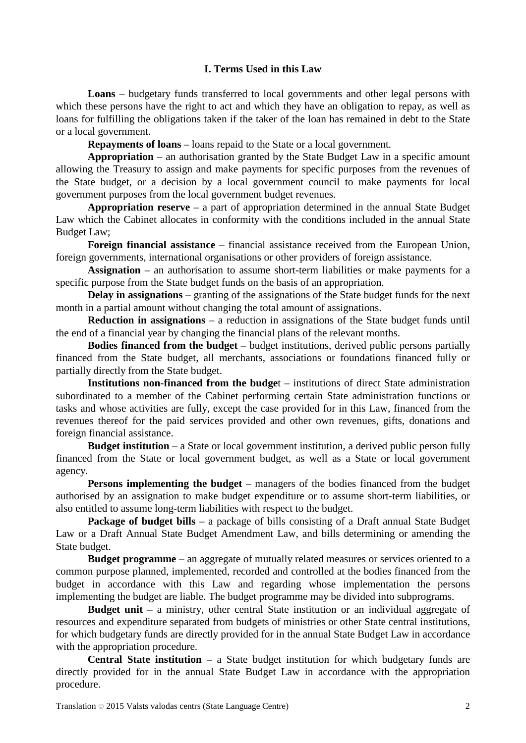## **I. Terms Used in this Law**

**Loans** – budgetary funds transferred to local governments and other legal persons with which these persons have the right to act and which they have an obligation to repay, as well as loans for fulfilling the obligations taken if the taker of the loan has remained in debt to the State or a local government.

**Repayments of loans** – loans repaid to the State or a local government.

**Appropriation** – an authorisation granted by the State Budget Law in a specific amount allowing the Treasury to assign and make payments for specific purposes from the revenues of the State budget, or a decision by a local government council to make payments for local government purposes from the local government budget revenues.

**Appropriation reserve** – a part of appropriation determined in the annual State Budget Law which the Cabinet allocates in conformity with the conditions included in the annual State Budget Law;

**Foreign financial assistance** – financial assistance received from the European Union, foreign governments, international organisations or other providers of foreign assistance.

**Assignation** – an authorisation to assume short-term liabilities or make payments for a specific purpose from the State budget funds on the basis of an appropriation.

**Delay in assignations** – granting of the assignations of the State budget funds for the next month in a partial amount without changing the total amount of assignations.

**Reduction in assignations** – a reduction in assignations of the State budget funds until the end of a financial year by changing the financial plans of the relevant months.

**Bodies financed from the budget** – budget institutions, derived public persons partially financed from the State budget, all merchants, associations or foundations financed fully or partially directly from the State budget.

**Institutions non-financed from the budge**t – institutions of direct State administration subordinated to a member of the Cabinet performing certain State administration functions or tasks and whose activities are fully, except the case provided for in this Law, financed from the revenues thereof for the paid services provided and other own revenues, gifts, donations and foreign financial assistance.

**Budget institution** – a State or local government institution, a derived public person fully financed from the State or local government budget, as well as a State or local government agency.

**Persons implementing the budget** – managers of the bodies financed from the budget authorised by an assignation to make budget expenditure or to assume short-term liabilities, or also entitled to assume long-term liabilities with respect to the budget.

**Package of budget bills** – a package of bills consisting of a Draft annual State Budget Law or a Draft Annual State Budget Amendment Law, and bills determining or amending the State budget.

**Budget programme** – an aggregate of mutually related measures or services oriented to a common purpose planned, implemented, recorded and controlled at the bodies financed from the budget in accordance with this Law and regarding whose implementation the persons implementing the budget are liable. The budget programme may be divided into subprograms.

**Budget unit** – a ministry, other central State institution or an individual aggregate of resources and expenditure separated from budgets of ministries or other State central institutions, for which budgetary funds are directly provided for in the annual State Budget Law in accordance with the appropriation procedure.

**Central State institution** – a State budget institution for which budgetary funds are directly provided for in the annual State Budget Law in accordance with the appropriation procedure.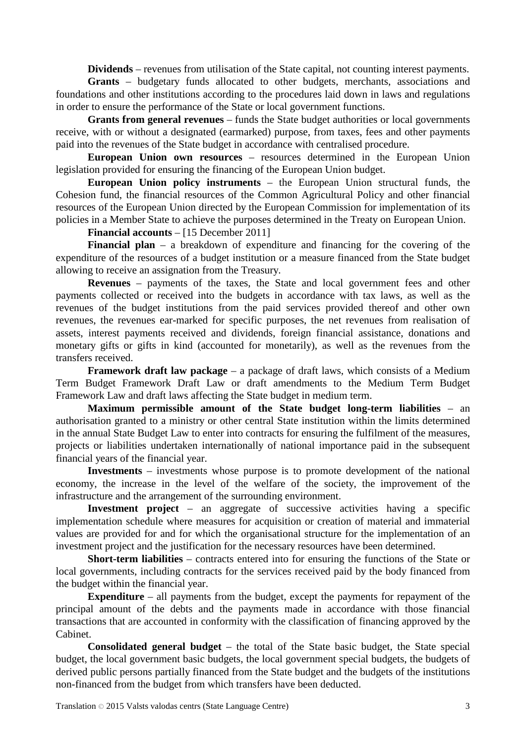**Dividends** – revenues from utilisation of the State capital, not counting interest payments.

**Grants** – budgetary funds allocated to other budgets, merchants, associations and foundations and other institutions according to the procedures laid down in laws and regulations in order to ensure the performance of the State or local government functions.

**Grants from general revenues** – funds the State budget authorities or local governments receive, with or without a designated (earmarked) purpose, from taxes, fees and other payments paid into the revenues of the State budget in accordance with centralised procedure.

**European Union own resources** – resources determined in the European Union legislation provided for ensuring the financing of the European Union budget.

**European Union policy instruments** – the European Union structural funds, the Cohesion fund, the financial resources of the Common Agricultural Policy and other financial resources of the European Union directed by the European Commission for implementation of its policies in a Member State to achieve the purposes determined in the Treaty on European Union.

**Financial accounts** – [15 December 2011]

**Financial plan** – a breakdown of expenditure and financing for the covering of the expenditure of the resources of a budget institution or a measure financed from the State budget allowing to receive an assignation from the Treasury.

**Revenues** – payments of the taxes, the State and local government fees and other payments collected or received into the budgets in accordance with tax laws, as well as the revenues of the budget institutions from the paid services provided thereof and other own revenues, the revenues ear-marked for specific purposes, the net revenues from realisation of assets, interest payments received and dividends, foreign financial assistance, donations and monetary gifts or gifts in kind (accounted for monetarily), as well as the revenues from the transfers received.

**Framework draft law package** – a package of draft laws, which consists of a Medium Term Budget Framework Draft Law or draft amendments to the Medium Term Budget Framework Law and draft laws affecting the State budget in medium term.

**Maximum permissible amount of the State budget long-term liabilities** – an authorisation granted to a ministry or other central State institution within the limits determined in the annual State Budget Law to enter into contracts for ensuring the fulfilment of the measures, projects or liabilities undertaken internationally of national importance paid in the subsequent financial years of the financial year.

**Investments** – investments whose purpose is to promote development of the national economy, the increase in the level of the welfare of the society, the improvement of the infrastructure and the arrangement of the surrounding environment.

**Investment project** – an aggregate of successive activities having a specific implementation schedule where measures for acquisition or creation of material and immaterial values are provided for and for which the organisational structure for the implementation of an investment project and the justification for the necessary resources have been determined.

**Short-term liabilities** – contracts entered into for ensuring the functions of the State or local governments, including contracts for the services received paid by the body financed from the budget within the financial year.

**Expenditure** – all payments from the budget, except the payments for repayment of the principal amount of the debts and the payments made in accordance with those financial transactions that are accounted in conformity with the classification of financing approved by the Cabinet.

**Consolidated general budget** – the total of the State basic budget, the State special budget, the local government basic budgets, the local government special budgets, the budgets of derived public persons partially financed from the State budget and the budgets of the institutions non-financed from the budget from which transfers have been deducted.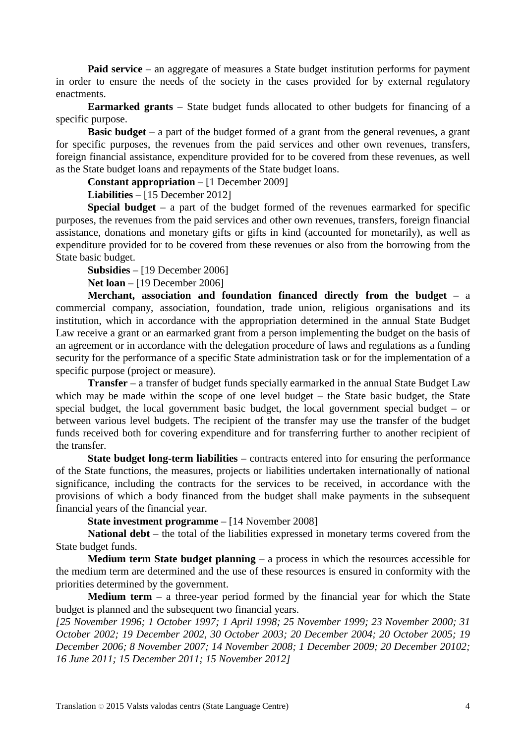**Paid service** – an aggregate of measures a State budget institution performs for payment in order to ensure the needs of the society in the cases provided for by external regulatory enactments.

**Earmarked grants** – State budget funds allocated to other budgets for financing of a specific purpose.

**Basic budget** – a part of the budget formed of a grant from the general revenues, a grant for specific purposes, the revenues from the paid services and other own revenues, transfers, foreign financial assistance, expenditure provided for to be covered from these revenues, as well as the State budget loans and repayments of the State budget loans.

**Constant appropriation** – [1 December 2009]

**Liabilities** – [15 December 2012]

**Special budget** – a part of the budget formed of the revenues earmarked for specific purposes, the revenues from the paid services and other own revenues, transfers, foreign financial assistance, donations and monetary gifts or gifts in kind (accounted for monetarily), as well as expenditure provided for to be covered from these revenues or also from the borrowing from the State basic budget.

#### **Subsidies** – [19 December 2006]

**Net loan** – [19 December 2006]

**Merchant, association and foundation financed directly from the budget** – a commercial company, association, foundation, trade union, religious organisations and its institution, which in accordance with the appropriation determined in the annual State Budget Law receive a grant or an earmarked grant from a person implementing the budget on the basis of an agreement or in accordance with the delegation procedure of laws and regulations as a funding security for the performance of a specific State administration task or for the implementation of a specific purpose (project or measure).

**Transfer** – a transfer of budget funds specially earmarked in the annual State Budget Law which may be made within the scope of one level budget – the State basic budget, the State special budget, the local government basic budget, the local government special budget – or between various level budgets. The recipient of the transfer may use the transfer of the budget funds received both for covering expenditure and for transferring further to another recipient of the transfer.

**State budget long-term liabilities** – contracts entered into for ensuring the performance of the State functions, the measures, projects or liabilities undertaken internationally of national significance, including the contracts for the services to be received, in accordance with the provisions of which a body financed from the budget shall make payments in the subsequent financial years of the financial year.

**State investment programme** – [14 November 2008]

**National debt** – the total of the liabilities expressed in monetary terms covered from the State budget funds.

**Medium term State budget planning** – a process in which the resources accessible for the medium term are determined and the use of these resources is ensured in conformity with the priorities determined by the government.

**Medium term** – a three-year period formed by the financial year for which the State budget is planned and the subsequent two financial years.

*[25 November 1996; 1 October 1997; 1 April 1998; 25 November 1999; 23 November 2000; 31 October 2002; 19 December 2002, 30 October 2003; 20 December 2004; 20 October 2005; 19 December 2006; 8 November 2007; 14 November 2008; 1 December 2009; 20 December 20102; 16 June 2011; 15 December 2011; 15 November 2012]*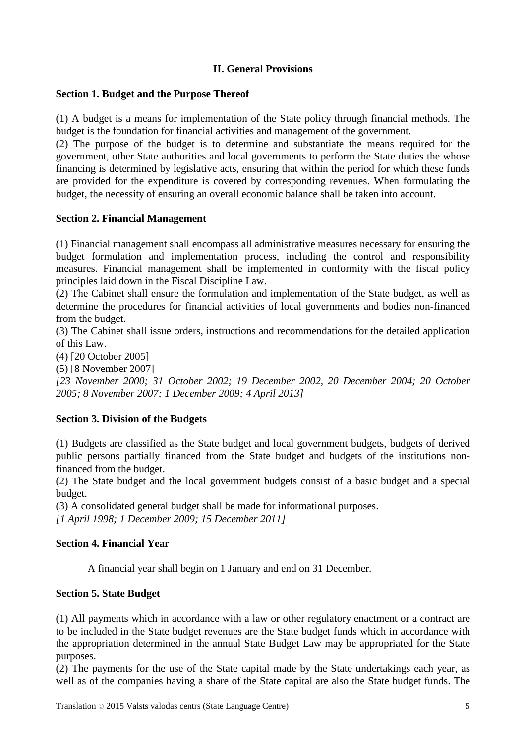# **II. General Provisions**

## **Section 1. Budget and the Purpose Thereof**

(1) A budget is a means for implementation of the State policy through financial methods. The budget is the foundation for financial activities and management of the government.

(2) The purpose of the budget is to determine and substantiate the means required for the government, other State authorities and local governments to perform the State duties the whose financing is determined by legislative acts, ensuring that within the period for which these funds are provided for the expenditure is covered by corresponding revenues. When formulating the budget, the necessity of ensuring an overall economic balance shall be taken into account.

## **Section 2. Financial Management**

(1) Financial management shall encompass all administrative measures necessary for ensuring the budget formulation and implementation process, including the control and responsibility measures. Financial management shall be implemented in conformity with the fiscal policy principles laid down in the Fiscal Discipline Law.

(2) The Cabinet shall ensure the formulation and implementation of the State budget, as well as determine the procedures for financial activities of local governments and bodies non-financed from the budget.

(3) The Cabinet shall issue orders, instructions and recommendations for the detailed application of this Law.

(4) [20 October 2005]

(5) [8 November 2007]

*[23 November 2000; 31 October 2002; 19 December 2002, 20 December 2004; 20 October 2005; 8 November 2007; 1 December 2009; 4 April 2013]*

## **Section 3. Division of the Budgets**

(1) Budgets are classified as the State budget and local government budgets, budgets of derived public persons partially financed from the State budget and budgets of the institutions nonfinanced from the budget.

(2) The State budget and the local government budgets consist of a basic budget and a special budget.

(3) A consolidated general budget shall be made for informational purposes.

*[1 April 1998; 1 December 2009; 15 December 2011]*

## **Section 4. Financial Year**

A financial year shall begin on 1 January and end on 31 December.

## **Section 5. State Budget**

(1) All payments which in accordance with a law or other regulatory enactment or a contract are to be included in the State budget revenues are the State budget funds which in accordance with the appropriation determined in the annual State Budget Law may be appropriated for the State purposes.

(2) The payments for the use of the State capital made by the State undertakings each year, as well as of the companies having a share of the State capital are also the State budget funds. The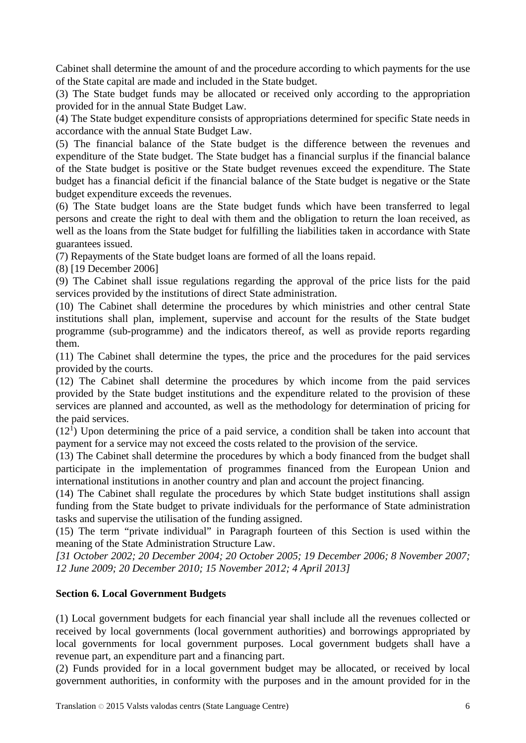Cabinet shall determine the amount of and the procedure according to which payments for the use of the State capital are made and included in the State budget.

(3) The State budget funds may be allocated or received only according to the appropriation provided for in the annual State Budget Law.

(4) The State budget expenditure consists of appropriations determined for specific State needs in accordance with the annual State Budget Law.

(5) The financial balance of the State budget is the difference between the revenues and expenditure of the State budget. The State budget has a financial surplus if the financial balance of the State budget is positive or the State budget revenues exceed the expenditure. The State budget has a financial deficit if the financial balance of the State budget is negative or the State budget expenditure exceeds the revenues.

(6) The State budget loans are the State budget funds which have been transferred to legal persons and create the right to deal with them and the obligation to return the loan received, as well as the loans from the State budget for fulfilling the liabilities taken in accordance with State guarantees issued.

(7) Repayments of the State budget loans are formed of all the loans repaid.

(8) [19 December 2006]

(9) The Cabinet shall issue regulations regarding the approval of the price lists for the paid services provided by the institutions of direct State administration.

(10) The Cabinet shall determine the procedures by which ministries and other central State institutions shall plan, implement, supervise and account for the results of the State budget programme (sub-programme) and the indicators thereof, as well as provide reports regarding them.

(11) The Cabinet shall determine the types, the price and the procedures for the paid services provided by the courts.

(12) The Cabinet shall determine the procedures by which income from the paid services provided by the State budget institutions and the expenditure related to the provision of these services are planned and accounted, as well as the methodology for determination of pricing for the paid services.

 $(12<sup>1</sup>)$  Upon determining the price of a paid service, a condition shall be taken into account that payment for a service may not exceed the costs related to the provision of the service.

(13) The Cabinet shall determine the procedures by which a body financed from the budget shall participate in the implementation of programmes financed from the European Union and international institutions in another country and plan and account the project financing.

(14) The Cabinet shall regulate the procedures by which State budget institutions shall assign funding from the State budget to private individuals for the performance of State administration tasks and supervise the utilisation of the funding assigned.

(15) The term "private individual" in Paragraph fourteen of this Section is used within the meaning of the State Administration Structure Law.

*[31 October 2002; 20 December 2004; 20 October 2005; 19 December 2006; 8 November 2007; 12 June 2009; 20 December 2010; 15 November 2012; 4 April 2013]*

## **Section 6. Local Government Budgets**

(1) Local government budgets for each financial year shall include all the revenues collected or received by local governments (local government authorities) and borrowings appropriated by local governments for local government purposes. Local government budgets shall have a revenue part, an expenditure part and a financing part.

(2) Funds provided for in a local government budget may be allocated, or received by local government authorities, in conformity with the purposes and in the amount provided for in the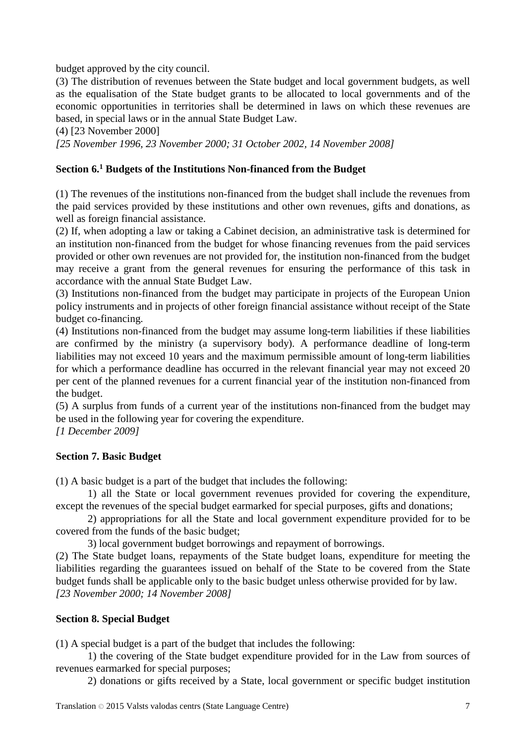budget approved by the city council.

(3) The distribution of revenues between the State budget and local government budgets, as well as the equalisation of the State budget grants to be allocated to local governments and of the economic opportunities in territories shall be determined in laws on which these revenues are based, in special laws or in the annual State Budget Law.

(4) [23 November 2000]

*[25 November 1996, 23 November 2000; 31 October 2002, 14 November 2008]*

## **Section 6.1 Budgets of the Institutions Non-financed from the Budget**

(1) The revenues of the institutions non-financed from the budget shall include the revenues from the paid services provided by these institutions and other own revenues, gifts and donations, as well as foreign financial assistance.

(2) If, when adopting a law or taking a Cabinet decision, an administrative task is determined for an institution non-financed from the budget for whose financing revenues from the paid services provided or other own revenues are not provided for, the institution non-financed from the budget may receive a grant from the general revenues for ensuring the performance of this task in accordance with the annual State Budget Law.

(3) Institutions non-financed from the budget may participate in projects of the European Union policy instruments and in projects of other foreign financial assistance without receipt of the State budget co-financing.

(4) Institutions non-financed from the budget may assume long-term liabilities if these liabilities are confirmed by the ministry (a supervisory body). A performance deadline of long-term liabilities may not exceed 10 years and the maximum permissible amount of long-term liabilities for which a performance deadline has occurred in the relevant financial year may not exceed 20 per cent of the planned revenues for a current financial year of the institution non-financed from the budget.

(5) A surplus from funds of a current year of the institutions non-financed from the budget may be used in the following year for covering the expenditure.

*[1 December 2009]*

## **Section 7. Basic Budget**

(1) A basic budget is a part of the budget that includes the following:

1) all the State or local government revenues provided for covering the expenditure, except the revenues of the special budget earmarked for special purposes, gifts and donations;

2) appropriations for all the State and local government expenditure provided for to be covered from the funds of the basic budget;

3) local government budget borrowings and repayment of borrowings.

(2) The State budget loans, repayments of the State budget loans, expenditure for meeting the liabilities regarding the guarantees issued on behalf of the State to be covered from the State budget funds shall be applicable only to the basic budget unless otherwise provided for by law. *[23 November 2000; 14 November 2008]*

### **Section 8. Special Budget**

(1) A special budget is a part of the budget that includes the following:

1) the covering of the State budget expenditure provided for in the Law from sources of revenues earmarked for special purposes;

2) donations or gifts received by a State, local government or specific budget institution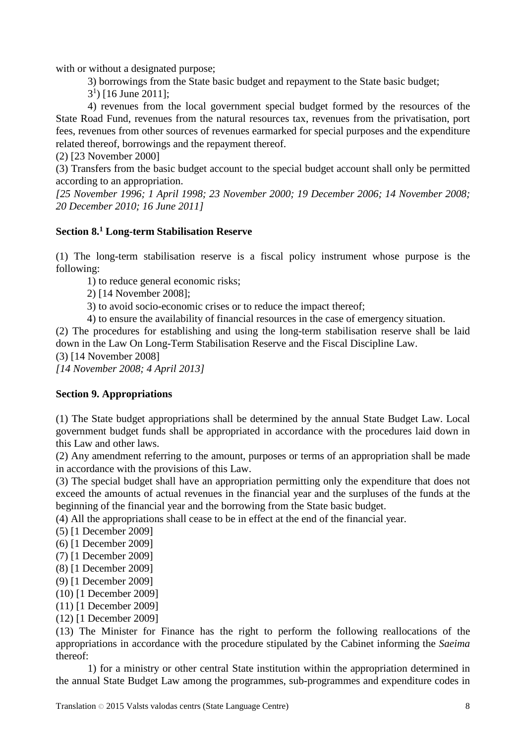with or without a designated purpose;

3) borrowings from the State basic budget and repayment to the State basic budget;

 $(3<sup>1</sup>)$  [16 June 2011];

4) revenues from the local government special budget formed by the resources of the State Road Fund, revenues from the natural resources tax, revenues from the privatisation, port fees, revenues from other sources of revenues earmarked for special purposes and the expenditure related thereof, borrowings and the repayment thereof.

(2) [23 November 2000]

(3) Transfers from the basic budget account to the special budget account shall only be permitted according to an appropriation.

*[25 November 1996; 1 April 1998; 23 November 2000; 19 December 2006; 14 November 2008; 20 December 2010; 16 June 2011]*

## **Section 8.1 Long-term Stabilisation Reserve**

(1) The long-term stabilisation reserve is a fiscal policy instrument whose purpose is the following:

1) to reduce general economic risks;

2) [14 November 2008];

3) to avoid socio-economic crises or to reduce the impact thereof;

4) to ensure the availability of financial resources in the case of emergency situation.

(2) The procedures for establishing and using the long-term stabilisation reserve shall be laid down in the Law On Long-Term Stabilisation Reserve and the Fiscal Discipline Law.

(3) [14 November 2008]

*[14 November 2008; 4 April 2013]*

## **Section 9. Appropriations**

(1) The State budget appropriations shall be determined by the annual State Budget Law. Local government budget funds shall be appropriated in accordance with the procedures laid down in this Law and other laws.

(2) Any amendment referring to the amount, purposes or terms of an appropriation shall be made in accordance with the provisions of this Law.

(3) The special budget shall have an appropriation permitting only the expenditure that does not exceed the amounts of actual revenues in the financial year and the surpluses of the funds at the beginning of the financial year and the borrowing from the State basic budget.

(4) All the appropriations shall cease to be in effect at the end of the financial year.

- (5) [1 December 2009]
- (6) [1 December 2009]
- (7) [1 December 2009]
- (8) [1 December 2009]
- (9) [1 December 2009]
- (10) [1 December 2009]
- (11) [1 December 2009]
- (12) [1 December 2009]

(13) The Minister for Finance has the right to perform the following reallocations of the appropriations in accordance with the procedure stipulated by the Cabinet informing the *Saeima* thereof:

1) for a ministry or other central State institution within the appropriation determined in the annual State Budget Law among the programmes, sub-programmes and expenditure codes in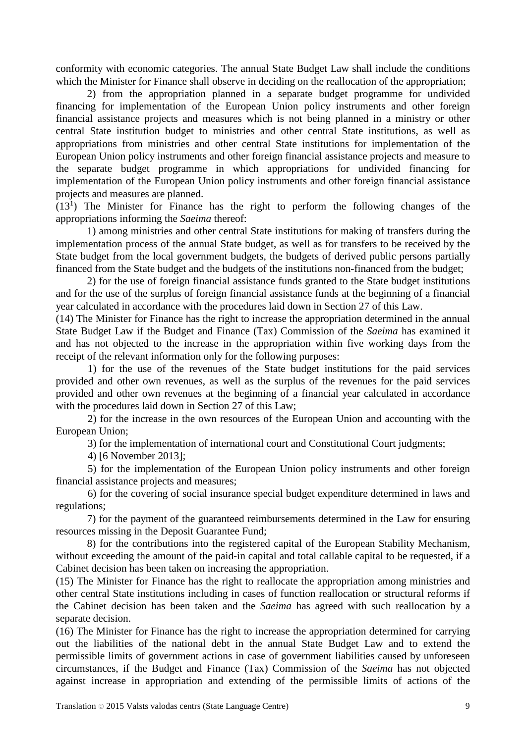conformity with economic categories. The annual State Budget Law shall include the conditions which the Minister for Finance shall observe in deciding on the reallocation of the appropriation;

2) from the appropriation planned in a separate budget programme for undivided financing for implementation of the European Union policy instruments and other foreign financial assistance projects and measures which is not being planned in a ministry or other central State institution budget to ministries and other central State institutions, as well as appropriations from ministries and other central State institutions for implementation of the European Union policy instruments and other foreign financial assistance projects and measure to the separate budget programme in which appropriations for undivided financing for implementation of the European Union policy instruments and other foreign financial assistance projects and measures are planned.

(131 ) The Minister for Finance has the right to perform the following changes of the appropriations informing the *Saeima* thereof:

1) among ministries and other central State institutions for making of transfers during the implementation process of the annual State budget, as well as for transfers to be received by the State budget from the local government budgets, the budgets of derived public persons partially financed from the State budget and the budgets of the institutions non-financed from the budget;

2) for the use of foreign financial assistance funds granted to the State budget institutions and for the use of the surplus of foreign financial assistance funds at the beginning of a financial year calculated in accordance with the procedures laid down in Section 27 of this Law.

(14) The Minister for Finance has the right to increase the appropriation determined in the annual State Budget Law if the Budget and Finance (Tax) Commission of the *Saeima* has examined it and has not objected to the increase in the appropriation within five working days from the receipt of the relevant information only for the following purposes:

1) for the use of the revenues of the State budget institutions for the paid services provided and other own revenues, as well as the surplus of the revenues for the paid services provided and other own revenues at the beginning of a financial year calculated in accordance with the procedures laid down in Section 27 of this Law;

2) for the increase in the own resources of the European Union and accounting with the European Union;

3) for the implementation of international court and Constitutional Court judgments;

4) [6 November 2013];

5) for the implementation of the European Union policy instruments and other foreign financial assistance projects and measures;

6) for the covering of social insurance special budget expenditure determined in laws and regulations;

7) for the payment of the guaranteed reimbursements determined in the Law for ensuring resources missing in the Deposit Guarantee Fund;

8) for the contributions into the registered capital of the European Stability Mechanism, without exceeding the amount of the paid-in capital and total callable capital to be requested, if a Cabinet decision has been taken on increasing the appropriation.

(15) The Minister for Finance has the right to reallocate the appropriation among ministries and other central State institutions including in cases of function reallocation or structural reforms if the Cabinet decision has been taken and the *Saeima* has agreed with such reallocation by a separate decision.

(16) The Minister for Finance has the right to increase the appropriation determined for carrying out the liabilities of the national debt in the annual State Budget Law and to extend the permissible limits of government actions in case of government liabilities caused by unforeseen circumstances, if the Budget and Finance (Tax) Commission of the *Saeima* has not objected against increase in appropriation and extending of the permissible limits of actions of the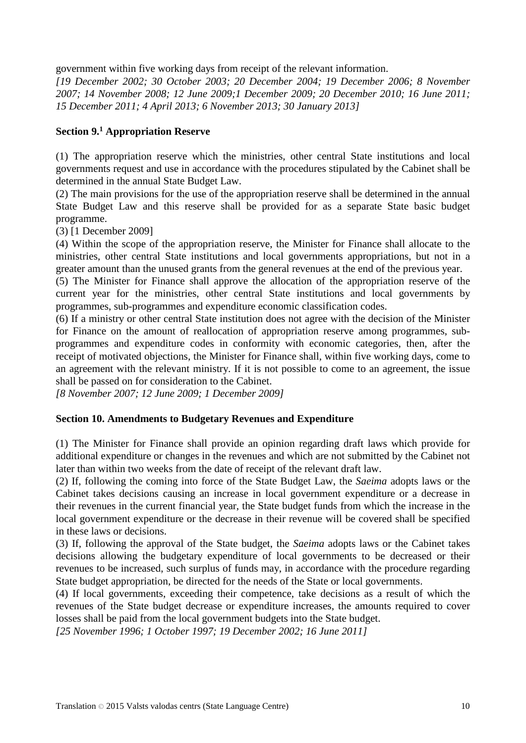government within five working days from receipt of the relevant information.

*[19 December 2002; 30 October 2003; 20 December 2004; 19 December 2006; 8 November 2007; 14 November 2008; 12 June 2009;1 December 2009; 20 December 2010; 16 June 2011; 15 December 2011; 4 April 2013; 6 November 2013; 30 January 2013]*

## **Section 9.1 Appropriation Reserve**

(1) The appropriation reserve which the ministries, other central State institutions and local governments request and use in accordance with the procedures stipulated by the Cabinet shall be determined in the annual State Budget Law.

(2) The main provisions for the use of the appropriation reserve shall be determined in the annual State Budget Law and this reserve shall be provided for as a separate State basic budget programme.

(3) [1 December 2009]

(4) Within the scope of the appropriation reserve, the Minister for Finance shall allocate to the ministries, other central State institutions and local governments appropriations, but not in a greater amount than the unused grants from the general revenues at the end of the previous year.

(5) The Minister for Finance shall approve the allocation of the appropriation reserve of the current year for the ministries, other central State institutions and local governments by programmes, sub-programmes and expenditure economic classification codes.

(6) If a ministry or other central State institution does not agree with the decision of the Minister for Finance on the amount of reallocation of appropriation reserve among programmes, subprogrammes and expenditure codes in conformity with economic categories, then, after the receipt of motivated objections, the Minister for Finance shall, within five working days, come to an agreement with the relevant ministry. If it is not possible to come to an agreement, the issue shall be passed on for consideration to the Cabinet.

*[8 November 2007; 12 June 2009; 1 December 2009]*

## **Section 10. Amendments to Budgetary Revenues and Expenditure**

(1) The Minister for Finance shall provide an opinion regarding draft laws which provide for additional expenditure or changes in the revenues and which are not submitted by the Cabinet not later than within two weeks from the date of receipt of the relevant draft law.

(2) If, following the coming into force of the State Budget Law, the *Saeima* adopts laws or the Cabinet takes decisions causing an increase in local government expenditure or a decrease in their revenues in the current financial year, the State budget funds from which the increase in the local government expenditure or the decrease in their revenue will be covered shall be specified in these laws or decisions.

(3) If, following the approval of the State budget, the *Saeima* adopts laws or the Cabinet takes decisions allowing the budgetary expenditure of local governments to be decreased or their revenues to be increased, such surplus of funds may, in accordance with the procedure regarding State budget appropriation, be directed for the needs of the State or local governments.

(4) If local governments, exceeding their competence, take decisions as a result of which the revenues of the State budget decrease or expenditure increases, the amounts required to cover losses shall be paid from the local government budgets into the State budget.

*[25 November 1996; 1 October 1997; 19 December 2002; 16 June 2011]*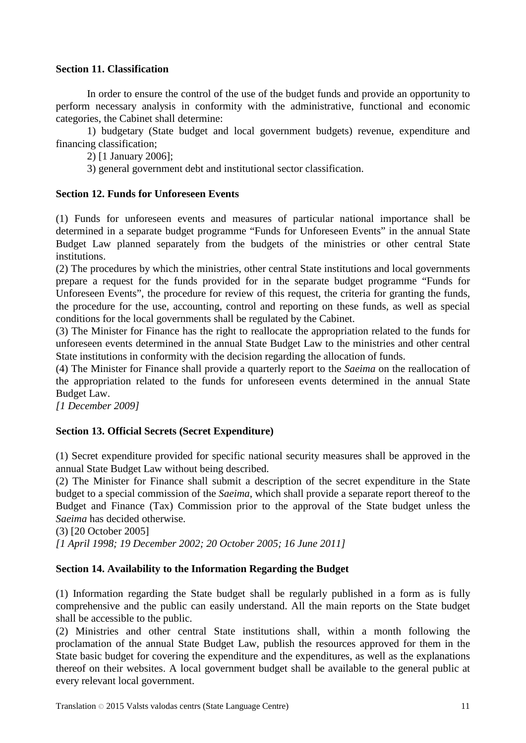## **Section 11. Classification**

In order to ensure the control of the use of the budget funds and provide an opportunity to perform necessary analysis in conformity with the administrative, functional and economic categories, the Cabinet shall determine:

1) budgetary (State budget and local government budgets) revenue, expenditure and financing classification;

2) [1 January 2006];

3) general government debt and institutional sector classification.

## **Section 12. Funds for Unforeseen Events**

(1) Funds for unforeseen events and measures of particular national importance shall be determined in a separate budget programme "Funds for Unforeseen Events" in the annual State Budget Law planned separately from the budgets of the ministries or other central State institutions.

(2) The procedures by which the ministries, other central State institutions and local governments prepare a request for the funds provided for in the separate budget programme "Funds for Unforeseen Events", the procedure for review of this request, the criteria for granting the funds, the procedure for the use, accounting, control and reporting on these funds, as well as special conditions for the local governments shall be regulated by the Cabinet.

(3) The Minister for Finance has the right to reallocate the appropriation related to the funds for unforeseen events determined in the annual State Budget Law to the ministries and other central State institutions in conformity with the decision regarding the allocation of funds.

(4) The Minister for Finance shall provide a quarterly report to the *Saeima* on the reallocation of the appropriation related to the funds for unforeseen events determined in the annual State Budget Law.

*[1 December 2009]*

## **Section 13. Official Secrets (Secret Expenditure)**

(1) Secret expenditure provided for specific national security measures shall be approved in the annual State Budget Law without being described.

(2) The Minister for Finance shall submit a description of the secret expenditure in the State budget to a special commission of the *Saeima*, which shall provide a separate report thereof to the Budget and Finance (Tax) Commission prior to the approval of the State budget unless the *Saeima* has decided otherwise.

(3) [20 October 2005]

*[1 April 1998; 19 December 2002; 20 October 2005; 16 June 2011]*

## **Section 14. Availability to the Information Regarding the Budget**

(1) Information regarding the State budget shall be regularly published in a form as is fully comprehensive and the public can easily understand. All the main reports on the State budget shall be accessible to the public.

(2) Ministries and other central State institutions shall, within a month following the proclamation of the annual State Budget Law, publish the resources approved for them in the State basic budget for covering the expenditure and the expenditures, as well as the explanations thereof on their websites. A local government budget shall be available to the general public at every relevant local government.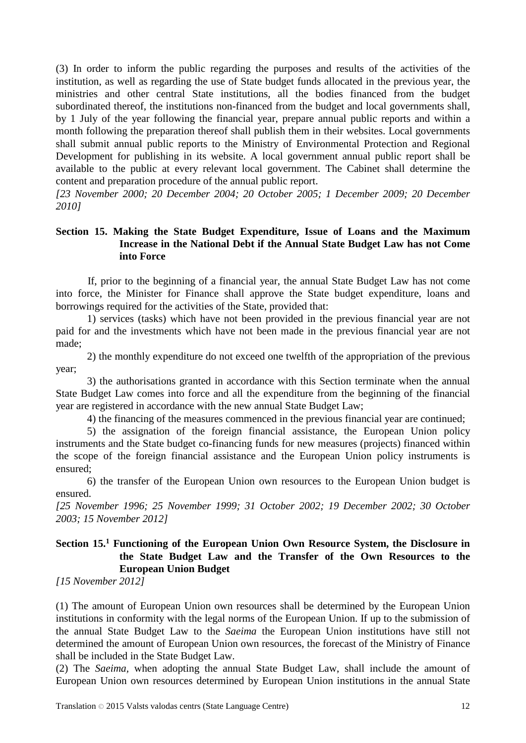(3) In order to inform the public regarding the purposes and results of the activities of the institution, as well as regarding the use of State budget funds allocated in the previous year, the ministries and other central State institutions, all the bodies financed from the budget subordinated thereof, the institutions non-financed from the budget and local governments shall, by 1 July of the year following the financial year, prepare annual public reports and within a month following the preparation thereof shall publish them in their websites. Local governments shall submit annual public reports to the Ministry of Environmental Protection and Regional Development for publishing in its website. A local government annual public report shall be available to the public at every relevant local government. The Cabinet shall determine the content and preparation procedure of the annual public report.

*[23 November 2000; 20 December 2004; 20 October 2005; 1 December 2009; 20 December 2010]*

## **Section 15. Making the State Budget Expenditure, Issue of Loans and the Maximum Increase in the National Debt if the Annual State Budget Law has not Come into Force**

If, prior to the beginning of a financial year, the annual State Budget Law has not come into force, the Minister for Finance shall approve the State budget expenditure, loans and borrowings required for the activities of the State, provided that:

1) services (tasks) which have not been provided in the previous financial year are not paid for and the investments which have not been made in the previous financial year are not made;

2) the monthly expenditure do not exceed one twelfth of the appropriation of the previous year;

3) the authorisations granted in accordance with this Section terminate when the annual State Budget Law comes into force and all the expenditure from the beginning of the financial year are registered in accordance with the new annual State Budget Law;

4) the financing of the measures commenced in the previous financial year are continued;

5) the assignation of the foreign financial assistance, the European Union policy instruments and the State budget co-financing funds for new measures (projects) financed within the scope of the foreign financial assistance and the European Union policy instruments is ensured;

6) the transfer of the European Union own resources to the European Union budget is ensured.

*[25 November 1996; 25 November 1999; 31 October 2002; 19 December 2002; 30 October 2003; 15 November 2012]*

# **Section 15.1 Functioning of the European Union Own Resource System, the Disclosure in the State Budget Law and the Transfer of the Own Resources to the European Union Budget**

*[15 November 2012]*

(1) The amount of European Union own resources shall be determined by the European Union institutions in conformity with the legal norms of the European Union. If up to the submission of the annual State Budget Law to the *Saeima* the European Union institutions have still not determined the amount of European Union own resources, the forecast of the Ministry of Finance shall be included in the State Budget Law.

(2) The *Saeima,* when adopting the annual State Budget Law, shall include the amount of European Union own resources determined by European Union institutions in the annual State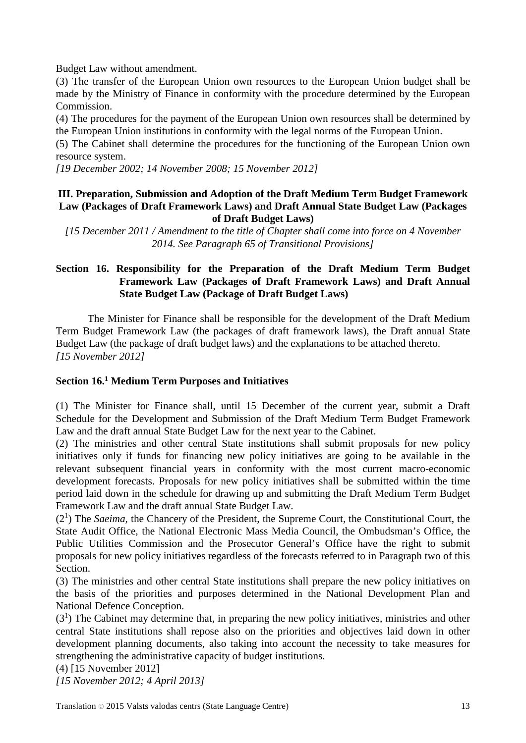Budget Law without amendment.

(3) The transfer of the European Union own resources to the European Union budget shall be made by the Ministry of Finance in conformity with the procedure determined by the European Commission.

(4) The procedures for the payment of the European Union own resources shall be determined by the European Union institutions in conformity with the legal norms of the European Union.

(5) The Cabinet shall determine the procedures for the functioning of the European Union own resource system.

*[19 December 2002; 14 November 2008; 15 November 2012]*

## **III. Preparation, Submission and Adoption of the Draft Medium Term Budget Framework Law (Packages of Draft Framework Laws) and Draft Annual State Budget Law (Packages of Draft Budget Laws)**

*[15 December 2011 / Amendment to the title of Chapter shall come into force on 4 November 2014. See Paragraph 65 of Transitional Provisions]*

## **Section 16. Responsibility for the Preparation of the Draft Medium Term Budget Framework Law (Packages of Draft Framework Laws) and Draft Annual State Budget Law (Package of Draft Budget Laws)**

The Minister for Finance shall be responsible for the development of the Draft Medium Term Budget Framework Law (the packages of draft framework laws), the Draft annual State Budget Law (the package of draft budget laws) and the explanations to be attached thereto. *[15 November 2012]*

## **Section 16.1 Medium Term Purposes and Initiatives**

(1) The Minister for Finance shall, until 15 December of the current year, submit a Draft Schedule for the Development and Submission of the Draft Medium Term Budget Framework Law and the draft annual State Budget Law for the next year to the Cabinet.

(2) The ministries and other central State institutions shall submit proposals for new policy initiatives only if funds for financing new policy initiatives are going to be available in the relevant subsequent financial years in conformity with the most current macro-economic development forecasts. Proposals for new policy initiatives shall be submitted within the time period laid down in the schedule for drawing up and submitting the Draft Medium Term Budget Framework Law and the draft annual State Budget Law.

(21 ) The *Saeima*, the Chancery of the President, the Supreme Court, the Constitutional Court, the State Audit Office, the National Electronic Mass Media Council, the Ombudsman's Office, the Public Utilities Commission and the Prosecutor General's Office have the right to submit proposals for new policy initiatives regardless of the forecasts referred to in Paragraph two of this Section.

(3) The ministries and other central State institutions shall prepare the new policy initiatives on the basis of the priorities and purposes determined in the National Development Plan and National Defence Conception.

 $(3<sup>1</sup>)$  The Cabinet may determine that, in preparing the new policy initiatives, ministries and other central State institutions shall repose also on the priorities and objectives laid down in other development planning documents, also taking into account the necessity to take measures for strengthening the administrative capacity of budget institutions.

(4) [15 November 2012] *[15 November 2012; 4 April 2013]*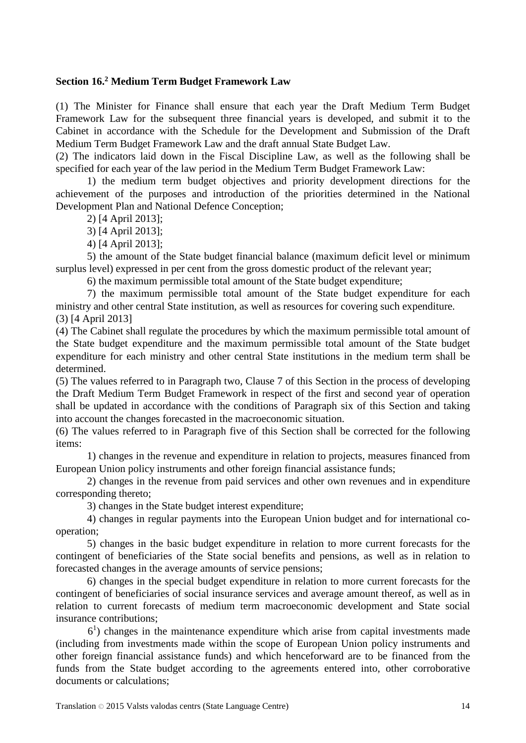### **Section 16.2 Medium Term Budget Framework Law**

(1) The Minister for Finance shall ensure that each year the Draft Medium Term Budget Framework Law for the subsequent three financial years is developed, and submit it to the Cabinet in accordance with the Schedule for the Development and Submission of the Draft Medium Term Budget Framework Law and the draft annual State Budget Law.

(2) The indicators laid down in the Fiscal Discipline Law, as well as the following shall be specified for each year of the law period in the Medium Term Budget Framework Law:

1) the medium term budget objectives and priority development directions for the achievement of the purposes and introduction of the priorities determined in the National Development Plan and National Defence Conception;

2) [4 April 2013];

3) [4 April 2013];

4) [4 April 2013];

5) the amount of the State budget financial balance (maximum deficit level or minimum surplus level) expressed in per cent from the gross domestic product of the relevant year;

6) the maximum permissible total amount of the State budget expenditure;

7) the maximum permissible total amount of the State budget expenditure for each ministry and other central State institution, as well as resources for covering such expenditure. (3) [4 April 2013]

(4) The Cabinet shall regulate the procedures by which the maximum permissible total amount of the State budget expenditure and the maximum permissible total amount of the State budget expenditure for each ministry and other central State institutions in the medium term shall be determined.

(5) The values referred to in Paragraph two, Clause 7 of this Section in the process of developing the Draft Medium Term Budget Framework in respect of the first and second year of operation shall be updated in accordance with the conditions of Paragraph six of this Section and taking into account the changes forecasted in the macroeconomic situation.

(6) The values referred to in Paragraph five of this Section shall be corrected for the following items:

1) changes in the revenue and expenditure in relation to projects, measures financed from European Union policy instruments and other foreign financial assistance funds;

2) changes in the revenue from paid services and other own revenues and in expenditure corresponding thereto;

3) changes in the State budget interest expenditure;

4) changes in regular payments into the European Union budget and for international cooperation;

5) changes in the basic budget expenditure in relation to more current forecasts for the contingent of beneficiaries of the State social benefits and pensions, as well as in relation to forecasted changes in the average amounts of service pensions;

6) changes in the special budget expenditure in relation to more current forecasts for the contingent of beneficiaries of social insurance services and average amount thereof, as well as in relation to current forecasts of medium term macroeconomic development and State social insurance contributions;

61 ) changes in the maintenance expenditure which arise from capital investments made (including from investments made within the scope of European Union policy instruments and other foreign financial assistance funds) and which henceforward are to be financed from the funds from the State budget according to the agreements entered into, other corroborative documents or calculations;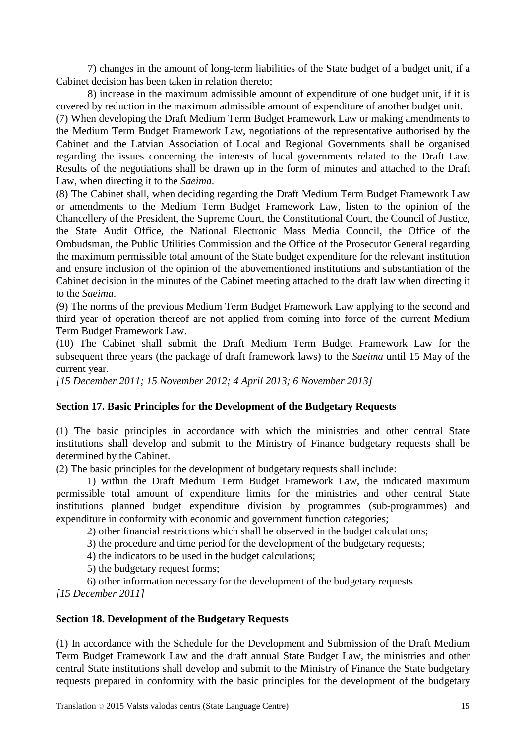7) changes in the amount of long-term liabilities of the State budget of a budget unit, if a Cabinet decision has been taken in relation thereto;

8) increase in the maximum admissible amount of expenditure of one budget unit, if it is covered by reduction in the maximum admissible amount of expenditure of another budget unit.

(7) When developing the Draft Medium Term Budget Framework Law or making amendments to the Medium Term Budget Framework Law, negotiations of the representative authorised by the Cabinet and the Latvian Association of Local and Regional Governments shall be organised regarding the issues concerning the interests of local governments related to the Draft Law. Results of the negotiations shall be drawn up in the form of minutes and attached to the Draft Law, when directing it to the *Saeima*.

(8) The Cabinet shall, when deciding regarding the Draft Medium Term Budget Framework Law or amendments to the Medium Term Budget Framework Law, listen to the opinion of the Chancellery of the President, the Supreme Court, the Constitutional Court, the Council of Justice, the State Audit Office, the National Electronic Mass Media Council, the Office of the Ombudsman, the Public Utilities Commission and the Office of the Prosecutor General regarding the maximum permissible total amount of the State budget expenditure for the relevant institution and ensure inclusion of the opinion of the abovementioned institutions and substantiation of the Cabinet decision in the minutes of the Cabinet meeting attached to the draft law when directing it to the *Saeima*.

(9) The norms of the previous Medium Term Budget Framework Law applying to the second and third year of operation thereof are not applied from coming into force of the current Medium Term Budget Framework Law.

(10) The Cabinet shall submit the Draft Medium Term Budget Framework Law for the subsequent three years (the package of draft framework laws) to the *Saeima* until 15 May of the current year.

*[15 December 2011; 15 November 2012; 4 April 2013; 6 November 2013]*

## **Section 17. Basic Principles for the Development of the Budgetary Requests**

(1) The basic principles in accordance with which the ministries and other central State institutions shall develop and submit to the Ministry of Finance budgetary requests shall be determined by the Cabinet.

(2) The basic principles for the development of budgetary requests shall include:

1) within the Draft Medium Term Budget Framework Law, the indicated maximum permissible total amount of expenditure limits for the ministries and other central State institutions planned budget expenditure division by programmes (sub-programmes) and expenditure in conformity with economic and government function categories;

2) other financial restrictions which shall be observed in the budget calculations;

3) the procedure and time period for the development of the budgetary requests;

4) the indicators to be used in the budget calculations;

5) the budgetary request forms;

6) other information necessary for the development of the budgetary requests. *[15 December 2011]*

### **Section 18. Development of the Budgetary Requests**

(1) In accordance with the Schedule for the Development and Submission of the Draft Medium Term Budget Framework Law and the draft annual State Budget Law, the ministries and other central State institutions shall develop and submit to the Ministry of Finance the State budgetary requests prepared in conformity with the basic principles for the development of the budgetary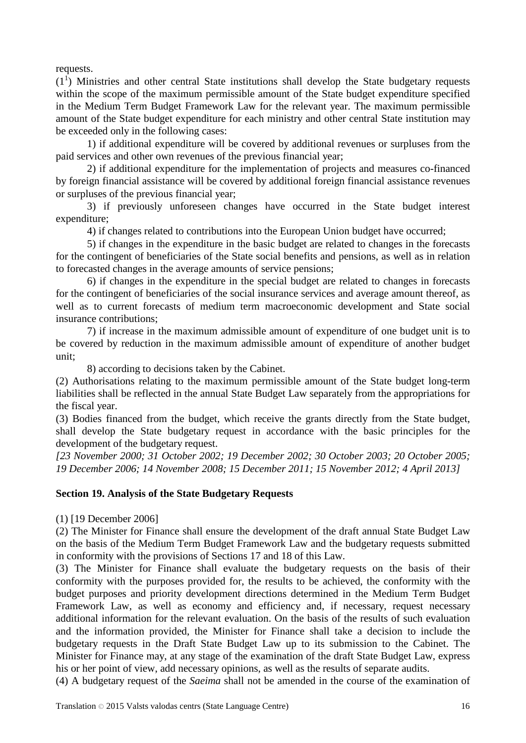requests.

 $(1<sup>1</sup>)$  Ministries and other central State institutions shall develop the State budgetary requests within the scope of the maximum permissible amount of the State budget expenditure specified in the Medium Term Budget Framework Law for the relevant year. The maximum permissible amount of the State budget expenditure for each ministry and other central State institution may be exceeded only in the following cases:

1) if additional expenditure will be covered by additional revenues or surpluses from the paid services and other own revenues of the previous financial year;

2) if additional expenditure for the implementation of projects and measures co-financed by foreign financial assistance will be covered by additional foreign financial assistance revenues or surpluses of the previous financial year;

3) if previously unforeseen changes have occurred in the State budget interest expenditure;

4) if changes related to contributions into the European Union budget have occurred;

5) if changes in the expenditure in the basic budget are related to changes in the forecasts for the contingent of beneficiaries of the State social benefits and pensions, as well as in relation to forecasted changes in the average amounts of service pensions;

6) if changes in the expenditure in the special budget are related to changes in forecasts for the contingent of beneficiaries of the social insurance services and average amount thereof, as well as to current forecasts of medium term macroeconomic development and State social insurance contributions;

7) if increase in the maximum admissible amount of expenditure of one budget unit is to be covered by reduction in the maximum admissible amount of expenditure of another budget unit;

8) according to decisions taken by the Cabinet.

(2) Authorisations relating to the maximum permissible amount of the State budget long-term liabilities shall be reflected in the annual State Budget Law separately from the appropriations for the fiscal year.

(3) Bodies financed from the budget, which receive the grants directly from the State budget, shall develop the State budgetary request in accordance with the basic principles for the development of the budgetary request.

*[23 November 2000; 31 October 2002; 19 December 2002; 30 October 2003; 20 October 2005; 19 December 2006; 14 November 2008; 15 December 2011; 15 November 2012; 4 April 2013]*

### **Section 19. Analysis of the State Budgetary Requests**

(1) [19 December 2006]

(2) The Minister for Finance shall ensure the development of the draft annual State Budget Law on the basis of the Medium Term Budget Framework Law and the budgetary requests submitted in conformity with the provisions of Sections 17 and 18 of this Law.

(3) The Minister for Finance shall evaluate the budgetary requests on the basis of their conformity with the purposes provided for, the results to be achieved, the conformity with the budget purposes and priority development directions determined in the Medium Term Budget Framework Law, as well as economy and efficiency and, if necessary, request necessary additional information for the relevant evaluation. On the basis of the results of such evaluation and the information provided, the Minister for Finance shall take a decision to include the budgetary requests in the Draft State Budget Law up to its submission to the Cabinet. The Minister for Finance may, at any stage of the examination of the draft State Budget Law, express his or her point of view, add necessary opinions, as well as the results of separate audits.

(4) A budgetary request of the *Saeima* shall not be amended in the course of the examination of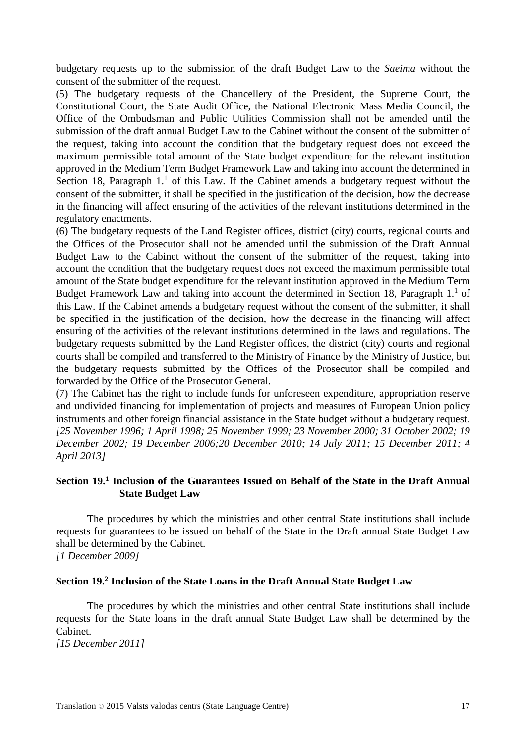budgetary requests up to the submission of the draft Budget Law to the *Saeima* without the consent of the submitter of the request.

(5) The budgetary requests of the Chancellery of the President, the Supreme Court, the Constitutional Court, the State Audit Office, the National Electronic Mass Media Council, the Office of the Ombudsman and Public Utilities Commission shall not be amended until the submission of the draft annual Budget Law to the Cabinet without the consent of the submitter of the request, taking into account the condition that the budgetary request does not exceed the maximum permissible total amount of the State budget expenditure for the relevant institution approved in the Medium Term Budget Framework Law and taking into account the determined in Section 18, Paragraph  $1<sup>1</sup>$  of this Law. If the Cabinet amends a budgetary request without the consent of the submitter, it shall be specified in the justification of the decision, how the decrease in the financing will affect ensuring of the activities of the relevant institutions determined in the regulatory enactments.

(6) The budgetary requests of the Land Register offices, district (city) courts, regional courts and the Offices of the Prosecutor shall not be amended until the submission of the Draft Annual Budget Law to the Cabinet without the consent of the submitter of the request, taking into account the condition that the budgetary request does not exceed the maximum permissible total amount of the State budget expenditure for the relevant institution approved in the Medium Term Budget Framework Law and taking into account the determined in Section 18, Paragraph 1.<sup>1</sup> of this Law. If the Cabinet amends a budgetary request without the consent of the submitter, it shall be specified in the justification of the decision, how the decrease in the financing will affect ensuring of the activities of the relevant institutions determined in the laws and regulations. The budgetary requests submitted by the Land Register offices, the district (city) courts and regional courts shall be compiled and transferred to the Ministry of Finance by the Ministry of Justice, but the budgetary requests submitted by the Offices of the Prosecutor shall be compiled and forwarded by the Office of the Prosecutor General.

(7) The Cabinet has the right to include funds for unforeseen expenditure, appropriation reserve and undivided financing for implementation of projects and measures of European Union policy instruments and other foreign financial assistance in the State budget without a budgetary request. *[25 November 1996; 1 April 1998; 25 November 1999; 23 November 2000; 31 October 2002; 19 December 2002; 19 December 2006;20 December 2010; 14 July 2011; 15 December 2011; 4 April 2013]*

## **Section 19.1 Inclusion of the Guarantees Issued on Behalf of the State in the Draft Annual State Budget Law**

The procedures by which the ministries and other central State institutions shall include requests for guarantees to be issued on behalf of the State in the Draft annual State Budget Law shall be determined by the Cabinet. *[1 December 2009]*

### **Section 19.2 Inclusion of the State Loans in the Draft Annual State Budget Law**

The procedures by which the ministries and other central State institutions shall include requests for the State loans in the draft annual State Budget Law shall be determined by the Cabinet.

*[15 December 2011]*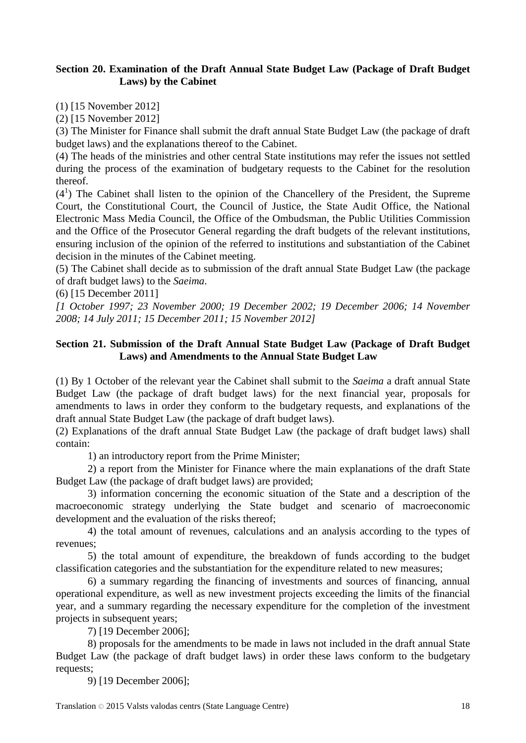## **Section 20. Examination of the Draft Annual State Budget Law (Package of Draft Budget Laws) by the Cabinet**

(1) [15 November 2012]

(2) [15 November 2012]

(3) The Minister for Finance shall submit the draft annual State Budget Law (the package of draft budget laws) and the explanations thereof to the Cabinet.

(4) The heads of the ministries and other central State institutions may refer the issues not settled during the process of the examination of budgetary requests to the Cabinet for the resolution thereof.

 $(4<sup>1</sup>)$  The Cabinet shall listen to the opinion of the Chancellery of the President, the Supreme Court, the Constitutional Court, the Council of Justice, the State Audit Office, the National Electronic Mass Media Council, the Office of the Ombudsman, the Public Utilities Commission and the Office of the Prosecutor General regarding the draft budgets of the relevant institutions, ensuring inclusion of the opinion of the referred to institutions and substantiation of the Cabinet decision in the minutes of the Cabinet meeting.

(5) The Cabinet shall decide as to submission of the draft annual State Budget Law (the package of draft budget laws) to the *Saeima*.

(6) [15 December 2011]

*[1 October 1997; 23 November 2000; 19 December 2002; 19 December 2006; 14 November 2008; 14 July 2011; 15 December 2011; 15 November 2012]*

## **Section 21. Submission of the Draft Annual State Budget Law (Package of Draft Budget Laws) and Amendments to the Annual State Budget Law**

(1) By 1 October of the relevant year the Cabinet shall submit to the *Saeima* a draft annual State Budget Law (the package of draft budget laws) for the next financial year, proposals for amendments to laws in order they conform to the budgetary requests, and explanations of the draft annual State Budget Law (the package of draft budget laws).

(2) Explanations of the draft annual State Budget Law (the package of draft budget laws) shall contain:

1) an introductory report from the Prime Minister;

2) a report from the Minister for Finance where the main explanations of the draft State Budget Law (the package of draft budget laws) are provided;

3) information concerning the economic situation of the State and a description of the macroeconomic strategy underlying the State budget and scenario of macroeconomic development and the evaluation of the risks thereof;

4) the total amount of revenues, calculations and an analysis according to the types of revenues;

5) the total amount of expenditure, the breakdown of funds according to the budget classification categories and the substantiation for the expenditure related to new measures;

6) a summary regarding the financing of investments and sources of financing, annual operational expenditure, as well as new investment projects exceeding the limits of the financial year, and a summary regarding the necessary expenditure for the completion of the investment projects in subsequent years;

7) [19 December 2006];

8) proposals for the amendments to be made in laws not included in the draft annual State Budget Law (the package of draft budget laws) in order these laws conform to the budgetary requests;

9) [19 December 2006];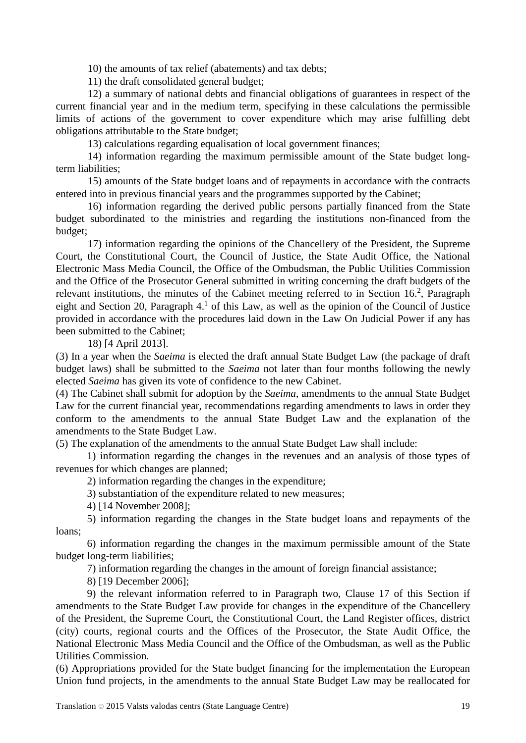10) the amounts of tax relief (abatements) and tax debts;

11) the draft consolidated general budget;

12) a summary of national debts and financial obligations of guarantees in respect of the current financial year and in the medium term, specifying in these calculations the permissible limits of actions of the government to cover expenditure which may arise fulfilling debt obligations attributable to the State budget;

13) calculations regarding equalisation of local government finances;

14) information regarding the maximum permissible amount of the State budget longterm liabilities;

15) amounts of the State budget loans and of repayments in accordance with the contracts entered into in previous financial years and the programmes supported by the Cabinet;

16) information regarding the derived public persons partially financed from the State budget subordinated to the ministries and regarding the institutions non-financed from the budget;

17) information regarding the opinions of the Chancellery of the President, the Supreme Court, the Constitutional Court, the Council of Justice, the State Audit Office, the National Electronic Mass Media Council, the Office of the Ombudsman, the Public Utilities Commission and the Office of the Prosecutor General submitted in writing concerning the draft budgets of the relevant institutions, the minutes of the Cabinet meeting referred to in Section 16.<sup>2</sup>, Paragraph eight and Section 20, Paragraph  $4<sup>1</sup>$  of this Law, as well as the opinion of the Council of Justice provided in accordance with the procedures laid down in the Law On Judicial Power if any has been submitted to the Cabinet;

18) [4 April 2013].

(3) In a year when the *Saeima* is elected the draft annual State Budget Law (the package of draft budget laws) shall be submitted to the *Saeima* not later than four months following the newly elected *Saeima* has given its vote of confidence to the new Cabinet.

(4) The Cabinet shall submit for adoption by the *Saeima*, amendments to the annual State Budget Law for the current financial year, recommendations regarding amendments to laws in order they conform to the amendments to the annual State Budget Law and the explanation of the amendments to the State Budget Law.

(5) The explanation of the amendments to the annual State Budget Law shall include:

1) information regarding the changes in the revenues and an analysis of those types of revenues for which changes are planned;

2) information regarding the changes in the expenditure;

3) substantiation of the expenditure related to new measures;

4) [14 November 2008];

5) information regarding the changes in the State budget loans and repayments of the loans;

6) information regarding the changes in the maximum permissible amount of the State budget long-term liabilities;

7) information regarding the changes in the amount of foreign financial assistance;

8) [19 December 2006];

9) the relevant information referred to in Paragraph two, Clause 17 of this Section if amendments to the State Budget Law provide for changes in the expenditure of the Chancellery of the President, the Supreme Court, the Constitutional Court, the Land Register offices, district (city) courts, regional courts and the Offices of the Prosecutor, the State Audit Office, the National Electronic Mass Media Council and the Office of the Ombudsman, as well as the Public Utilities Commission.

(6) Appropriations provided for the State budget financing for the implementation the European Union fund projects, in the amendments to the annual State Budget Law may be reallocated for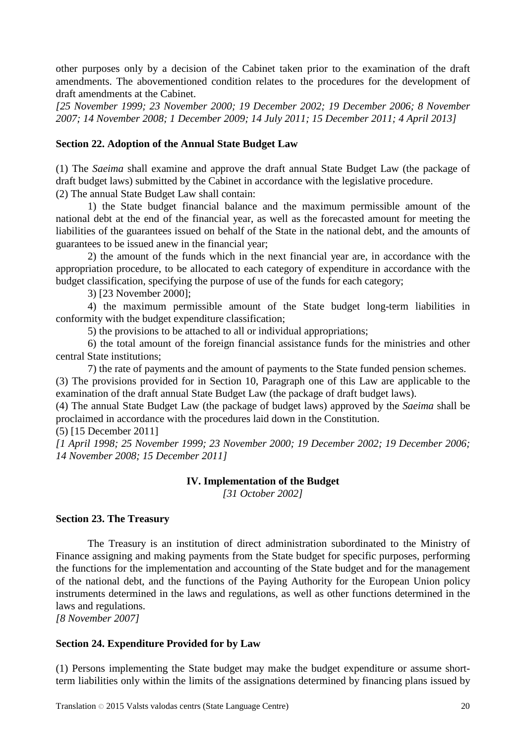other purposes only by a decision of the Cabinet taken prior to the examination of the draft amendments. The abovementioned condition relates to the procedures for the development of draft amendments at the Cabinet.

*[25 November 1999; 23 November 2000; 19 December 2002; 19 December 2006; 8 November 2007; 14 November 2008; 1 December 2009; 14 July 2011; 15 December 2011; 4 April 2013]*

## **Section 22. Adoption of the Annual State Budget Law**

(1) The *Saeima* shall examine and approve the draft annual State Budget Law (the package of draft budget laws) submitted by the Cabinet in accordance with the legislative procedure. (2) The annual State Budget Law shall contain:

1) the State budget financial balance and the maximum permissible amount of the national debt at the end of the financial year, as well as the forecasted amount for meeting the liabilities of the guarantees issued on behalf of the State in the national debt, and the amounts of guarantees to be issued anew in the financial year;

2) the amount of the funds which in the next financial year are, in accordance with the appropriation procedure, to be allocated to each category of expenditure in accordance with the budget classification, specifying the purpose of use of the funds for each category;

3) [23 November 2000];

4) the maximum permissible amount of the State budget long-term liabilities in conformity with the budget expenditure classification;

5) the provisions to be attached to all or individual appropriations;

6) the total amount of the foreign financial assistance funds for the ministries and other central State institutions;

7) the rate of payments and the amount of payments to the State funded pension schemes. (3) The provisions provided for in Section 10, Paragraph one of this Law are applicable to the examination of the draft annual State Budget Law (the package of draft budget laws).

(4) The annual State Budget Law (the package of budget laws) approved by the *Saeima* shall be proclaimed in accordance with the procedures laid down in the Constitution.

(5) [15 December 2011]

*[1 April 1998; 25 November 1999; 23 November 2000; 19 December 2002; 19 December 2006; 14 November 2008; 15 December 2011]*

## **IV. Implementation of the Budget**

*[31 October 2002]*

### **Section 23. The Treasury**

The Treasury is an institution of direct administration subordinated to the Ministry of Finance assigning and making payments from the State budget for specific purposes, performing the functions for the implementation and accounting of the State budget and for the management of the national debt, and the functions of the Paying Authority for the European Union policy instruments determined in the laws and regulations, as well as other functions determined in the laws and regulations.

*[8 November 2007]*

## **Section 24. Expenditure Provided for by Law**

(1) Persons implementing the State budget may make the budget expenditure or assume shortterm liabilities only within the limits of the assignations determined by financing plans issued by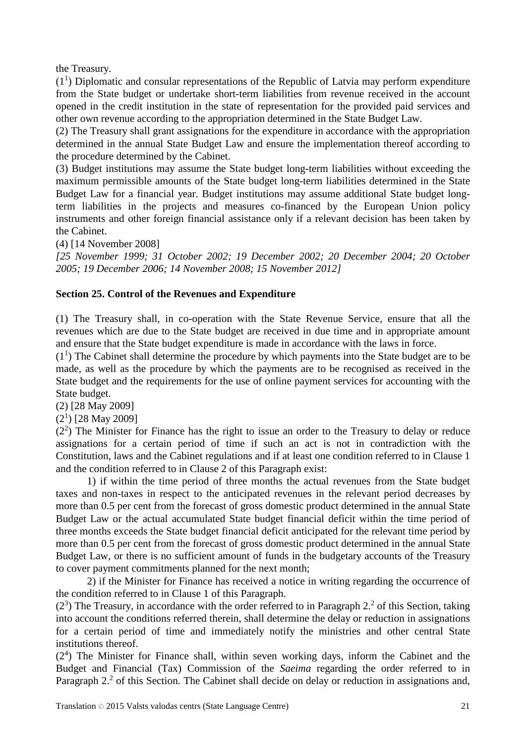the Treasury.

 $(1<sup>1</sup>)$  Diplomatic and consular representations of the Republic of Latvia may perform expenditure from the State budget or undertake short-term liabilities from revenue received in the account opened in the credit institution in the state of representation for the provided paid services and other own revenue according to the appropriation determined in the State Budget Law.

(2) The Treasury shall grant assignations for the expenditure in accordance with the appropriation determined in the annual State Budget Law and ensure the implementation thereof according to the procedure determined by the Cabinet.

(3) Budget institutions may assume the State budget long-term liabilities without exceeding the maximum permissible amounts of the State budget long-term liabilities determined in the State Budget Law for a financial year. Budget institutions may assume additional State budget longterm liabilities in the projects and measures co-financed by the European Union policy instruments and other foreign financial assistance only if a relevant decision has been taken by the Cabinet.

(4) [14 November 2008]

*[25 November 1999; 31 October 2002; 19 December 2002; 20 December 2004; 20 October 2005; 19 December 2006; 14 November 2008; 15 November 2012]*

## **Section 25. Control of the Revenues and Expenditure**

(1) The Treasury shall, in co-operation with the State Revenue Service, ensure that all the revenues which are due to the State budget are received in due time and in appropriate amount and ensure that the State budget expenditure is made in accordance with the laws in force.

 $(1<sup>1</sup>)$  The Cabinet shall determine the procedure by which payments into the State budget are to be made, as well as the procedure by which the payments are to be recognised as received in the State budget and the requirements for the use of online payment services for accounting with the State budget.

(2) [28 May 2009]

 $(2<sup>1</sup>)$  [28 May 2009]

 $(2<sup>2</sup>)$  The Minister for Finance has the right to issue an order to the Treasury to delay or reduce assignations for a certain period of time if such an act is not in contradiction with the Constitution, laws and the Cabinet regulations and if at least one condition referred to in Clause 1 and the condition referred to in Clause 2 of this Paragraph exist:

1) if within the time period of three months the actual revenues from the State budget taxes and non-taxes in respect to the anticipated revenues in the relevant period decreases by more than 0.5 per cent from the forecast of gross domestic product determined in the annual State Budget Law or the actual accumulated State budget financial deficit within the time period of three months exceeds the State budget financial deficit anticipated for the relevant time period by more than 0.5 per cent from the forecast of gross domestic product determined in the annual State Budget Law, or there is no sufficient amount of funds in the budgetary accounts of the Treasury to cover payment commitments planned for the next month;

2) if the Minister for Finance has received a notice in writing regarding the occurrence of the condition referred to in Clause 1 of this Paragraph.

 $(2<sup>3</sup>)$  The Treasury, in accordance with the order referred to in Paragraph 2.<sup>2</sup> of this Section, taking into account the conditions referred therein, shall determine the delay or reduction in assignations for a certain period of time and immediately notify the ministries and other central State institutions thereof.

(2<sup>4</sup>) The Minister for Finance shall, within seven working days, inform the Cabinet and the Budget and Financial (Tax) Commission of the *Saeima* regarding the order referred to in Paragraph  $2<sup>2</sup>$  of this Section. The Cabinet shall decide on delay or reduction in assignations and,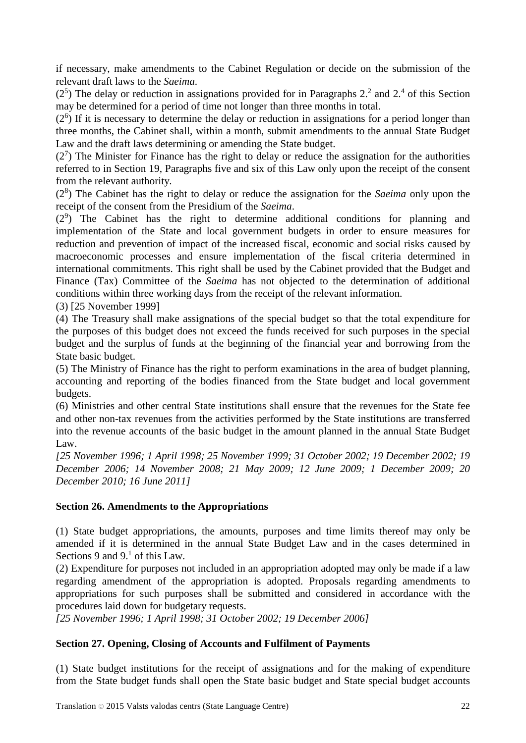if necessary, make amendments to the Cabinet Regulation or decide on the submission of the relevant draft laws to the *Saeima*.

 $(2<sup>5</sup>)$  The delay or reduction in assignations provided for in Paragraphs 2.<sup>2</sup> and 2.<sup>4</sup> of this Section may be determined for a period of time not longer than three months in total.

 $(2<sup>6</sup>)$  If it is necessary to determine the delay or reduction in assignations for a period longer than three months, the Cabinet shall, within a month, submit amendments to the annual State Budget Law and the draft laws determining or amending the State budget.

 $(2<sup>7</sup>)$  The Minister for Finance has the right to delay or reduce the assignation for the authorities referred to in Section 19, Paragraphs five and six of this Law only upon the receipt of the consent from the relevant authority.

(28 ) The Cabinet has the right to delay or reduce the assignation for the *Saeima* only upon the receipt of the consent from the Presidium of the *Saeima*.

(2<sup>9</sup> ) The Cabinet has the right to determine additional conditions for planning and implementation of the State and local government budgets in order to ensure measures for reduction and prevention of impact of the increased fiscal, economic and social risks caused by macroeconomic processes and ensure implementation of the fiscal criteria determined in international commitments. This right shall be used by the Cabinet provided that the Budget and Finance (Tax) Committee of the *Saeima* has not objected to the determination of additional conditions within three working days from the receipt of the relevant information.

(3) [25 November 1999]

(4) The Treasury shall make assignations of the special budget so that the total expenditure for the purposes of this budget does not exceed the funds received for such purposes in the special budget and the surplus of funds at the beginning of the financial year and borrowing from the State basic budget.

(5) The Ministry of Finance has the right to perform examinations in the area of budget planning, accounting and reporting of the bodies financed from the State budget and local government budgets.

(6) Ministries and other central State institutions shall ensure that the revenues for the State fee and other non-tax revenues from the activities performed by the State institutions are transferred into the revenue accounts of the basic budget in the amount planned in the annual State Budget Law.

*[25 November 1996; 1 April 1998; 25 November 1999; 31 October 2002; 19 December 2002; 19 December 2006; 14 November 2008; 21 May 2009; 12 June 2009; 1 December 2009; 20 December 2010; 16 June 2011]*

## **Section 26. Amendments to the Appropriations**

(1) State budget appropriations, the amounts, purposes and time limits thereof may only be amended if it is determined in the annual State Budget Law and in the cases determined in Sections 9 and  $9<sup>1</sup>$  of this Law.

(2) Expenditure for purposes not included in an appropriation adopted may only be made if a law regarding amendment of the appropriation is adopted. Proposals regarding amendments to appropriations for such purposes shall be submitted and considered in accordance with the procedures laid down for budgetary requests.

*[25 November 1996; 1 April 1998; 31 October 2002; 19 December 2006]*

## **Section 27. Opening, Closing of Accounts and Fulfilment of Payments**

(1) State budget institutions for the receipt of assignations and for the making of expenditure from the State budget funds shall open the State basic budget and State special budget accounts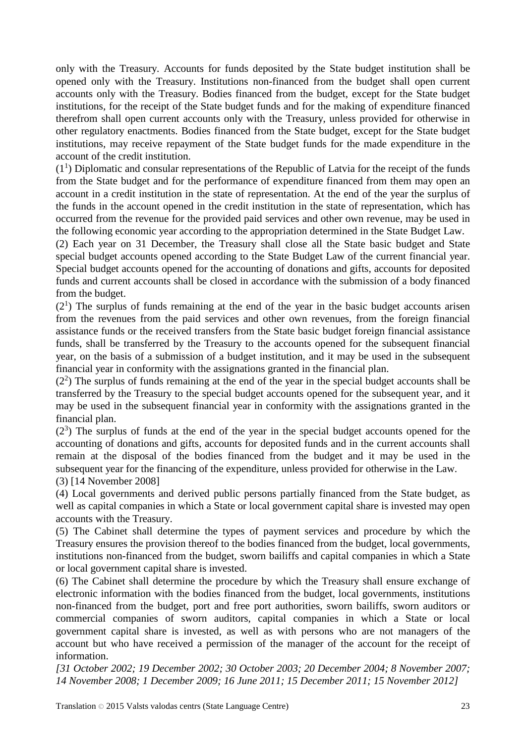only with the Treasury. Accounts for funds deposited by the State budget institution shall be opened only with the Treasury. Institutions non-financed from the budget shall open current accounts only with the Treasury. Bodies financed from the budget, except for the State budget institutions, for the receipt of the State budget funds and for the making of expenditure financed therefrom shall open current accounts only with the Treasury, unless provided for otherwise in other regulatory enactments. Bodies financed from the State budget, except for the State budget institutions, may receive repayment of the State budget funds for the made expenditure in the account of the credit institution.

 $(1<sup>1</sup>)$  Diplomatic and consular representations of the Republic of Latvia for the receipt of the funds from the State budget and for the performance of expenditure financed from them may open an account in a credit institution in the state of representation. At the end of the year the surplus of the funds in the account opened in the credit institution in the state of representation, which has occurred from the revenue for the provided paid services and other own revenue, may be used in the following economic year according to the appropriation determined in the State Budget Law.

(2) Each year on 31 December, the Treasury shall close all the State basic budget and State special budget accounts opened according to the State Budget Law of the current financial year. Special budget accounts opened for the accounting of donations and gifts, accounts for deposited funds and current accounts shall be closed in accordance with the submission of a body financed from the budget.

 $(2<sup>1</sup>)$  The surplus of funds remaining at the end of the year in the basic budget accounts arisen from the revenues from the paid services and other own revenues, from the foreign financial assistance funds or the received transfers from the State basic budget foreign financial assistance funds, shall be transferred by the Treasury to the accounts opened for the subsequent financial year, on the basis of a submission of a budget institution, and it may be used in the subsequent financial year in conformity with the assignations granted in the financial plan.

 $(2<sup>2</sup>)$  The surplus of funds remaining at the end of the year in the special budget accounts shall be transferred by the Treasury to the special budget accounts opened for the subsequent year, and it may be used in the subsequent financial year in conformity with the assignations granted in the financial plan.

 $(2<sup>3</sup>)$  The surplus of funds at the end of the year in the special budget accounts opened for the accounting of donations and gifts, accounts for deposited funds and in the current accounts shall remain at the disposal of the bodies financed from the budget and it may be used in the subsequent year for the financing of the expenditure, unless provided for otherwise in the Law. (3) [14 November 2008]

(4) Local governments and derived public persons partially financed from the State budget, as well as capital companies in which a State or local government capital share is invested may open accounts with the Treasury.

(5) The Cabinet shall determine the types of payment services and procedure by which the Treasury ensures the provision thereof to the bodies financed from the budget, local governments, institutions non-financed from the budget, sworn bailiffs and capital companies in which a State or local government capital share is invested.

(6) The Cabinet shall determine the procedure by which the Treasury shall ensure exchange of electronic information with the bodies financed from the budget, local governments, institutions non-financed from the budget, port and free port authorities, sworn bailiffs, sworn auditors or commercial companies of sworn auditors, capital companies in which a State or local government capital share is invested, as well as with persons who are not managers of the account but who have received a permission of the manager of the account for the receipt of information.

*[31 October 2002; 19 December 2002; 30 October 2003; 20 December 2004; 8 November 2007; 14 November 2008; 1 December 2009; 16 June 2011; 15 December 2011; 15 November 2012]*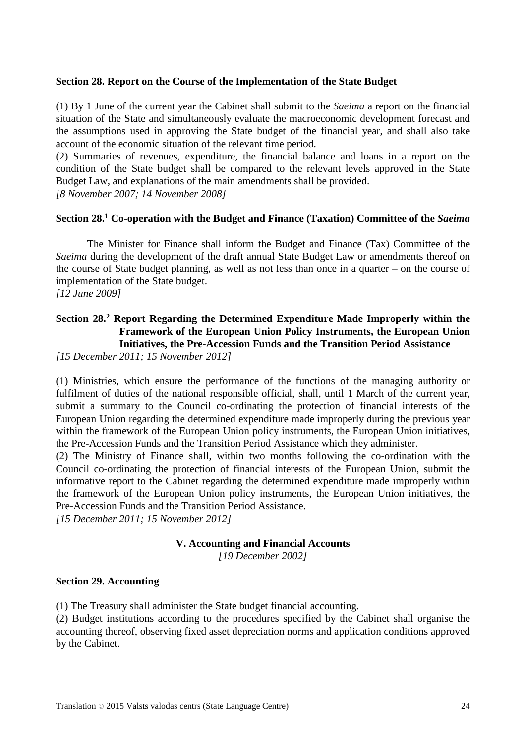### **Section 28. Report on the Course of the Implementation of the State Budget**

(1) By 1 June of the current year the Cabinet shall submit to the *Saeima* a report on the financial situation of the State and simultaneously evaluate the macroeconomic development forecast and the assumptions used in approving the State budget of the financial year, and shall also take account of the economic situation of the relevant time period.

(2) Summaries of revenues, expenditure, the financial balance and loans in a report on the condition of the State budget shall be compared to the relevant levels approved in the State Budget Law, and explanations of the main amendments shall be provided.

*[8 November 2007; 14 November 2008]*

## **Section 28.1 Co-operation with the Budget and Finance (Taxation) Committee of the** *Saeima*

The Minister for Finance shall inform the Budget and Finance (Tax) Committee of the *Saeima* during the development of the draft annual State Budget Law or amendments thereof on the course of State budget planning, as well as not less than once in a quarter – on the course of implementation of the State budget.

*[12 June 2009]*

# **Section 28.2 Report Regarding the Determined Expenditure Made Improperly within the Framework of the European Union Policy Instruments, the European Union Initiatives, the Pre-Accession Funds and the Transition Period Assistance**

*[15 December 2011; 15 November 2012]*

(1) Ministries, which ensure the performance of the functions of the managing authority or fulfilment of duties of the national responsible official, shall, until 1 March of the current year, submit a summary to the Council co-ordinating the protection of financial interests of the European Union regarding the determined expenditure made improperly during the previous year within the framework of the European Union policy instruments, the European Union initiatives, the Pre-Accession Funds and the Transition Period Assistance which they administer.

(2) The Ministry of Finance shall, within two months following the co-ordination with the Council co-ordinating the protection of financial interests of the European Union, submit the informative report to the Cabinet regarding the determined expenditure made improperly within the framework of the European Union policy instruments, the European Union initiatives, the Pre-Accession Funds and the Transition Period Assistance.

*[15 December 2011; 15 November 2012]*

### **V. Accounting and Financial Accounts**

*[19 December 2002]*

### **Section 29. Accounting**

(1) The Treasury shall administer the State budget financial accounting.

(2) Budget institutions according to the procedures specified by the Cabinet shall organise the accounting thereof, observing fixed asset depreciation norms and application conditions approved by the Cabinet.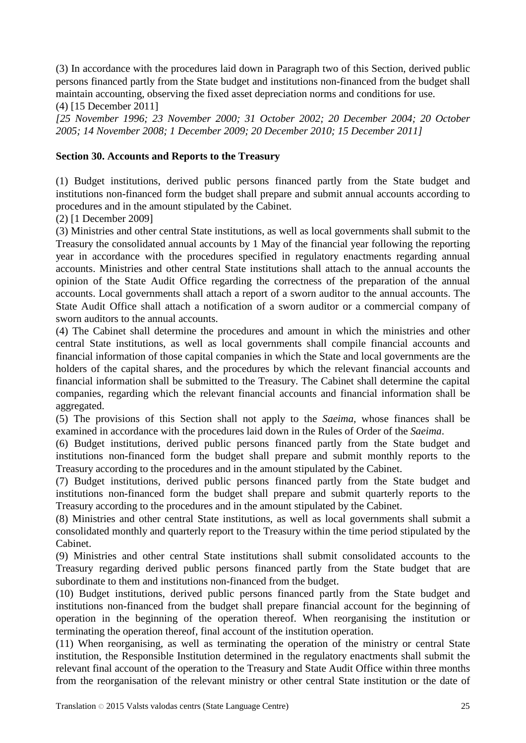(3) In accordance with the procedures laid down in Paragraph two of this Section, derived public persons financed partly from the State budget and institutions non-financed from the budget shall maintain accounting, observing the fixed asset depreciation norms and conditions for use. (4) [15 December 2011]

*[25 November 1996; 23 November 2000; 31 October 2002; 20 December 2004; 20 October 2005; 14 November 2008; 1 December 2009; 20 December 2010; 15 December 2011]*

## **Section 30. Accounts and Reports to the Treasury**

(1) Budget institutions, derived public persons financed partly from the State budget and institutions non-financed form the budget shall prepare and submit annual accounts according to procedures and in the amount stipulated by the Cabinet.

(2) [1 December 2009]

(3) Ministries and other central State institutions, as well as local governments shall submit to the Treasury the consolidated annual accounts by 1 May of the financial year following the reporting year in accordance with the procedures specified in regulatory enactments regarding annual accounts. Ministries and other central State institutions shall attach to the annual accounts the opinion of the State Audit Office regarding the correctness of the preparation of the annual accounts. Local governments shall attach a report of a sworn auditor to the annual accounts. The State Audit Office shall attach a notification of a sworn auditor or a commercial company of sworn auditors to the annual accounts.

(4) The Cabinet shall determine the procedures and amount in which the ministries and other central State institutions, as well as local governments shall compile financial accounts and financial information of those capital companies in which the State and local governments are the holders of the capital shares, and the procedures by which the relevant financial accounts and financial information shall be submitted to the Treasury. The Cabinet shall determine the capital companies, regarding which the relevant financial accounts and financial information shall be aggregated.

(5) The provisions of this Section shall not apply to the *Saeima,* whose finances shall be examined in accordance with the procedures laid down in the Rules of Order of the *Saeima*.

(6) Budget institutions, derived public persons financed partly from the State budget and institutions non-financed form the budget shall prepare and submit monthly reports to the Treasury according to the procedures and in the amount stipulated by the Cabinet.

(7) Budget institutions, derived public persons financed partly from the State budget and institutions non-financed form the budget shall prepare and submit quarterly reports to the Treasury according to the procedures and in the amount stipulated by the Cabinet.

(8) Ministries and other central State institutions, as well as local governments shall submit a consolidated monthly and quarterly report to the Treasury within the time period stipulated by the Cabinet.

(9) Ministries and other central State institutions shall submit consolidated accounts to the Treasury regarding derived public persons financed partly from the State budget that are subordinate to them and institutions non-financed from the budget.

(10) Budget institutions, derived public persons financed partly from the State budget and institutions non-financed from the budget shall prepare financial account for the beginning of operation in the beginning of the operation thereof. When reorganising the institution or terminating the operation thereof, final account of the institution operation.

(11) When reorganising, as well as terminating the operation of the ministry or central State institution, the Responsible Institution determined in the regulatory enactments shall submit the relevant final account of the operation to the Treasury and State Audit Office within three months from the reorganisation of the relevant ministry or other central State institution or the date of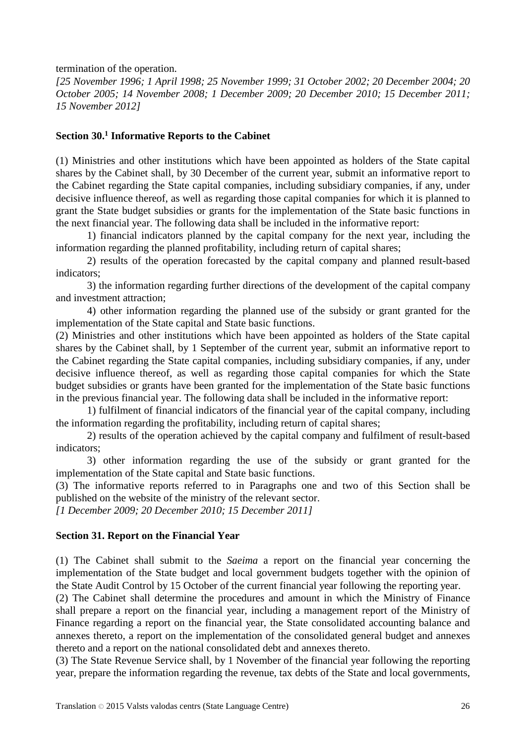termination of the operation.

*[25 November 1996; 1 April 1998; 25 November 1999; 31 October 2002; 20 December 2004; 20 October 2005; 14 November 2008; 1 December 2009; 20 December 2010; 15 December 2011; 15 November 2012]*

### **Section 30. <sup>1</sup> Informative Reports to the Cabinet**

(1) Ministries and other institutions which have been appointed as holders of the State capital shares by the Cabinet shall, by 30 December of the current year, submit an informative report to the Cabinet regarding the State capital companies, including subsidiary companies, if any, under decisive influence thereof, as well as regarding those capital companies for which it is planned to grant the State budget subsidies or grants for the implementation of the State basic functions in the next financial year. The following data shall be included in the informative report:

1) financial indicators planned by the capital company for the next year, including the information regarding the planned profitability, including return of capital shares;

2) results of the operation forecasted by the capital company and planned result-based indicators;

3) the information regarding further directions of the development of the capital company and investment attraction;

4) other information regarding the planned use of the subsidy or grant granted for the implementation of the State capital and State basic functions.

(2) Ministries and other institutions which have been appointed as holders of the State capital shares by the Cabinet shall, by 1 September of the current year, submit an informative report to the Cabinet regarding the State capital companies, including subsidiary companies, if any, under decisive influence thereof, as well as regarding those capital companies for which the State budget subsidies or grants have been granted for the implementation of the State basic functions in the previous financial year. The following data shall be included in the informative report:

1) fulfilment of financial indicators of the financial year of the capital company, including the information regarding the profitability, including return of capital shares;

2) results of the operation achieved by the capital company and fulfilment of result-based indicators;

3) other information regarding the use of the subsidy or grant granted for the implementation of the State capital and State basic functions.

(3) The informative reports referred to in Paragraphs one and two of this Section shall be published on the website of the ministry of the relevant sector.

*[1 December 2009; 20 December 2010; 15 December 2011]*

### **Section 31. Report on the Financial Year**

(1) The Cabinet shall submit to the *Saeima* a report on the financial year concerning the implementation of the State budget and local government budgets together with the opinion of the State Audit Control by 15 October of the current financial year following the reporting year.

(2) The Cabinet shall determine the procedures and amount in which the Ministry of Finance shall prepare a report on the financial year, including a management report of the Ministry of Finance regarding a report on the financial year, the State consolidated accounting balance and annexes thereto, a report on the implementation of the consolidated general budget and annexes thereto and a report on the national consolidated debt and annexes thereto.

(3) The State Revenue Service shall, by 1 November of the financial year following the reporting year, prepare the information regarding the revenue, tax debts of the State and local governments,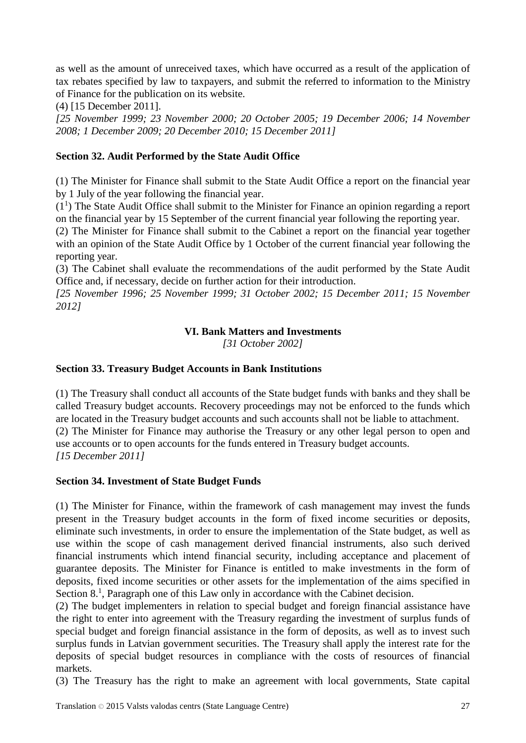as well as the amount of unreceived taxes, which have occurred as a result of the application of tax rebates specified by law to taxpayers, and submit the referred to information to the Ministry of Finance for the publication on its website.

(4) [15 December 2011].

*[25 November 1999; 23 November 2000; 20 October 2005; 19 December 2006; 14 November 2008; 1 December 2009; 20 December 2010; 15 December 2011]*

# **Section 32. Audit Performed by the State Audit Office**

(1) The Minister for Finance shall submit to the State Audit Office a report on the financial year by 1 July of the year following the financial year.

 $(1<sup>1</sup>)$  The State Audit Office shall submit to the Minister for Finance an opinion regarding a report on the financial year by 15 September of the current financial year following the reporting year.

(2) The Minister for Finance shall submit to the Cabinet a report on the financial year together with an opinion of the State Audit Office by 1 October of the current financial year following the reporting year.

(3) The Cabinet shall evaluate the recommendations of the audit performed by the State Audit Office and, if necessary, decide on further action for their introduction.

*[25 November 1996; 25 November 1999; 31 October 2002; 15 December 2011; 15 November 2012]*

# **VI. Bank Matters and Investments**

*[31 October 2002]*

# **Section 33. Treasury Budget Accounts in Bank Institutions**

(1) The Treasury shall conduct all accounts of the State budget funds with banks and they shall be called Treasury budget accounts. Recovery proceedings may not be enforced to the funds which are located in the Treasury budget accounts and such accounts shall not be liable to attachment. (2) The Minister for Finance may authorise the Treasury or any other legal person to open and use accounts or to open accounts for the funds entered in Treasury budget accounts. *[15 December 2011]*

## **Section 34. Investment of State Budget Funds**

(1) The Minister for Finance, within the framework of cash management may invest the funds present in the Treasury budget accounts in the form of fixed income securities or deposits, eliminate such investments, in order to ensure the implementation of the State budget, as well as use within the scope of cash management derived financial instruments, also such derived financial instruments which intend financial security, including acceptance and placement of guarantee deposits. The Minister for Finance is entitled to make investments in the form of deposits, fixed income securities or other assets for the implementation of the aims specified in Section 8.<sup>1</sup>, Paragraph one of this Law only in accordance with the Cabinet decision.

(2) The budget implementers in relation to special budget and foreign financial assistance have the right to enter into agreement with the Treasury regarding the investment of surplus funds of special budget and foreign financial assistance in the form of deposits, as well as to invest such surplus funds in Latvian government securities. The Treasury shall apply the interest rate for the deposits of special budget resources in compliance with the costs of resources of financial markets.

(3) The Treasury has the right to make an agreement with local governments, State capital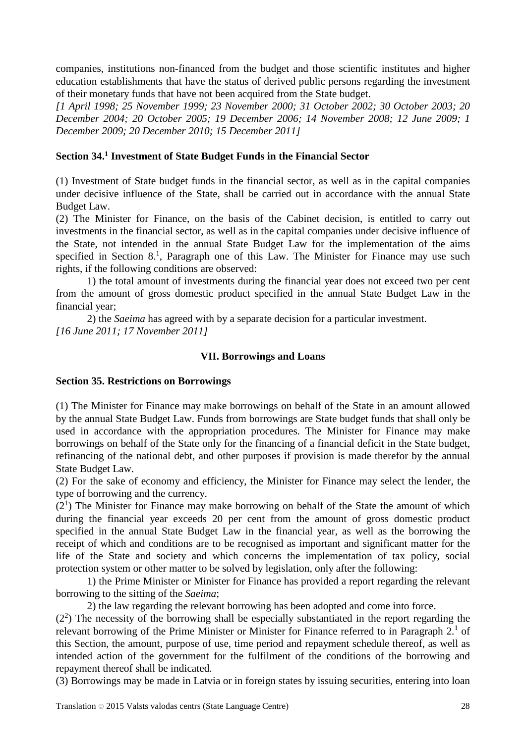companies, institutions non-financed from the budget and those scientific institutes and higher education establishments that have the status of derived public persons regarding the investment of their monetary funds that have not been acquired from the State budget.

*[1 April 1998; 25 November 1999; 23 November 2000; 31 October 2002; 30 October 2003; 20 December 2004; 20 October 2005; 19 December 2006; 14 November 2008; 12 June 2009; 1 December 2009; 20 December 2010; 15 December 2011]*

## **Section 34. <sup>1</sup> Investment of State Budget Funds in the Financial Sector**

(1) Investment of State budget funds in the financial sector, as well as in the capital companies under decisive influence of the State, shall be carried out in accordance with the annual State Budget Law.

(2) The Minister for Finance, on the basis of the Cabinet decision, is entitled to carry out investments in the financial sector, as well as in the capital companies under decisive influence of the State, not intended in the annual State Budget Law for the implementation of the aims specified in Section 8.<sup>1</sup>, Paragraph one of this Law. The Minister for Finance may use such rights, if the following conditions are observed:

1) the total amount of investments during the financial year does not exceed two per cent from the amount of gross domestic product specified in the annual State Budget Law in the financial year;

2) the *Saeima* has agreed with by a separate decision for a particular investment. *[16 June 2011; 17 November 2011]*

## **VII. Borrowings and Loans**

### **Section 35. Restrictions on Borrowings**

(1) The Minister for Finance may make borrowings on behalf of the State in an amount allowed by the annual State Budget Law. Funds from borrowings are State budget funds that shall only be used in accordance with the appropriation procedures. The Minister for Finance may make borrowings on behalf of the State only for the financing of a financial deficit in the State budget, refinancing of the national debt, and other purposes if provision is made therefor by the annual State Budget Law.

(2) For the sake of economy and efficiency, the Minister for Finance may select the lender, the type of borrowing and the currency.

 $(2<sup>1</sup>)$  The Minister for Finance may make borrowing on behalf of the State the amount of which during the financial year exceeds 20 per cent from the amount of gross domestic product specified in the annual State Budget Law in the financial year, as well as the borrowing the receipt of which and conditions are to be recognised as important and significant matter for the life of the State and society and which concerns the implementation of tax policy, social protection system or other matter to be solved by legislation, only after the following:

1) the Prime Minister or Minister for Finance has provided a report regarding the relevant borrowing to the sitting of the *Saeima*;

2) the law regarding the relevant borrowing has been adopted and come into force.

 $(2<sup>2</sup>)$  The necessity of the borrowing shall be especially substantiated in the report regarding the relevant borrowing of the Prime Minister or Minister for Finance referred to in Paragraph 2.<sup>1</sup> of this Section, the amount, purpose of use, time period and repayment schedule thereof, as well as intended action of the government for the fulfilment of the conditions of the borrowing and repayment thereof shall be indicated.

(3) Borrowings may be made in Latvia or in foreign states by issuing securities, entering into loan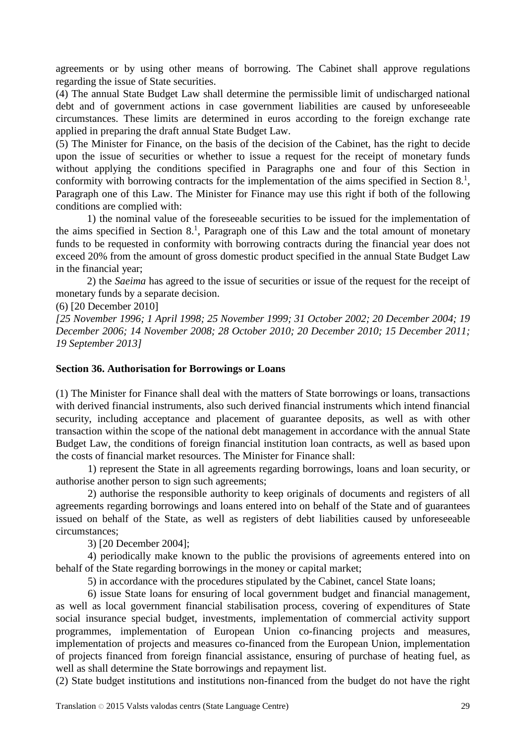agreements or by using other means of borrowing. The Cabinet shall approve regulations regarding the issue of State securities.

(4) The annual State Budget Law shall determine the permissible limit of undischarged national debt and of government actions in case government liabilities are caused by unforeseeable circumstances. These limits are determined in euros according to the foreign exchange rate applied in preparing the draft annual State Budget Law.

(5) The Minister for Finance, on the basis of the decision of the Cabinet, has the right to decide upon the issue of securities or whether to issue a request for the receipt of monetary funds without applying the conditions specified in Paragraphs one and four of this Section in conformity with borrowing contracts for the implementation of the aims specified in Section  $8<sup>1</sup>$ , Paragraph one of this Law. The Minister for Finance may use this right if both of the following conditions are complied with:

1) the nominal value of the foreseeable securities to be issued for the implementation of the aims specified in Section 8. 1 , Paragraph one of this Law and the total amount of monetary funds to be requested in conformity with borrowing contracts during the financial year does not exceed 20% from the amount of gross domestic product specified in the annual State Budget Law in the financial year;

2) the *Saeima* has agreed to the issue of securities or issue of the request for the receipt of monetary funds by a separate decision.

(6) [20 December 2010]

*[25 November 1996; 1 April 1998; 25 November 1999; 31 October 2002; 20 December 2004; 19 December 2006; 14 November 2008; 28 October 2010; 20 December 2010; 15 December 2011; 19 September 2013]*

## **Section 36. Authorisation for Borrowings or Loans**

(1) The Minister for Finance shall deal with the matters of State borrowings or loans, transactions with derived financial instruments, also such derived financial instruments which intend financial security, including acceptance and placement of guarantee deposits, as well as with other transaction within the scope of the national debt management in accordance with the annual State Budget Law, the conditions of foreign financial institution loan contracts, as well as based upon the costs of financial market resources. The Minister for Finance shall:

1) represent the State in all agreements regarding borrowings, loans and loan security, or authorise another person to sign such agreements;

2) authorise the responsible authority to keep originals of documents and registers of all agreements regarding borrowings and loans entered into on behalf of the State and of guarantees issued on behalf of the State, as well as registers of debt liabilities caused by unforeseeable circumstances;

3) [20 December 2004];

4) periodically make known to the public the provisions of agreements entered into on behalf of the State regarding borrowings in the money or capital market;

5) in accordance with the procedures stipulated by the Cabinet, cancel State loans;

6) issue State loans for ensuring of local government budget and financial management, as well as local government financial stabilisation process, covering of expenditures of State social insurance special budget, investments, implementation of commercial activity support programmes, implementation of European Union co-financing projects and measures, implementation of projects and measures co-financed from the European Union, implementation of projects financed from foreign financial assistance, ensuring of purchase of heating fuel, as well as shall determine the State borrowings and repayment list.

(2) State budget institutions and institutions non-financed from the budget do not have the right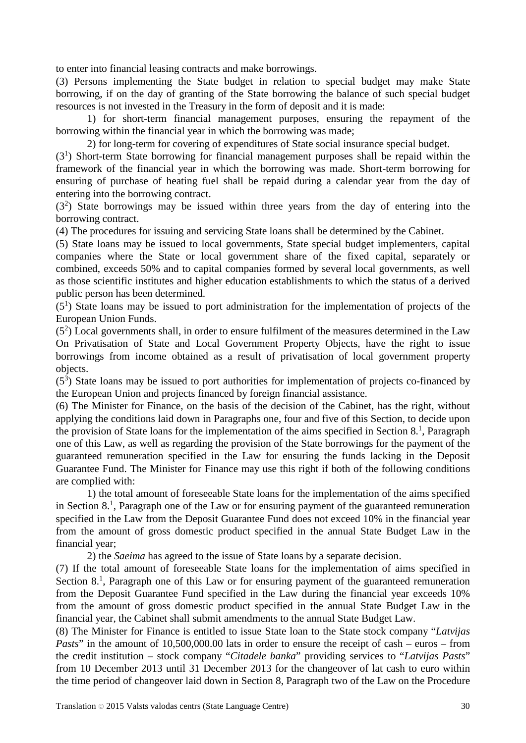to enter into financial leasing contracts and make borrowings.

(3) Persons implementing the State budget in relation to special budget may make State borrowing, if on the day of granting of the State borrowing the balance of such special budget resources is not invested in the Treasury in the form of deposit and it is made:

1) for short-term financial management purposes, ensuring the repayment of the borrowing within the financial year in which the borrowing was made;

2) for long-term for covering of expenditures of State social insurance special budget.

 $(3<sup>1</sup>)$  Short-term State borrowing for financial management purposes shall be repaid within the framework of the financial year in which the borrowing was made. Short-term borrowing for ensuring of purchase of heating fuel shall be repaid during a calendar year from the day of entering into the borrowing contract.

 $(3<sup>2</sup>)$  State borrowings may be issued within three years from the day of entering into the borrowing contract.

(4) The procedures for issuing and servicing State loans shall be determined by the Cabinet.

(5) State loans may be issued to local governments, State special budget implementers, capital companies where the State or local government share of the fixed capital, separately or combined, exceeds 50% and to capital companies formed by several local governments, as well as those scientific institutes and higher education establishments to which the status of a derived public person has been determined.

 $(5<sup>1</sup>)$  State loans may be issued to port administration for the implementation of projects of the European Union Funds.

 $(5<sup>2</sup>)$  Local governments shall, in order to ensure fulfilment of the measures determined in the Law On Privatisation of State and Local Government Property Objects, have the right to issue borrowings from income obtained as a result of privatisation of local government property objects.

 $(5<sup>3</sup>)$  State loans may be issued to port authorities for implementation of projects co-financed by the European Union and projects financed by foreign financial assistance.

(6) The Minister for Finance, on the basis of the decision of the Cabinet, has the right, without applying the conditions laid down in Paragraphs one, four and five of this Section, to decide upon the provision of State loans for the implementation of the aims specified in Section  $8<sup>1</sup>$ , Paragraph one of this Law, as well as regarding the provision of the State borrowings for the payment of the guaranteed remuneration specified in the Law for ensuring the funds lacking in the Deposit Guarantee Fund. The Minister for Finance may use this right if both of the following conditions are complied with:

1) the total amount of foreseeable State loans for the implementation of the aims specified in Section 8. 1 , Paragraph one of the Law or for ensuring payment of the guaranteed remuneration specified in the Law from the Deposit Guarantee Fund does not exceed 10% in the financial year from the amount of gross domestic product specified in the annual State Budget Law in the financial year;

2) the *Saeima* has agreed to the issue of State loans by a separate decision.

(7) If the total amount of foreseeable State loans for the implementation of aims specified in Section 8.<sup>1</sup>, Paragraph one of this Law or for ensuring payment of the guaranteed remuneration from the Deposit Guarantee Fund specified in the Law during the financial year exceeds 10% from the amount of gross domestic product specified in the annual State Budget Law in the financial year, the Cabinet shall submit amendments to the annual State Budget Law.

(8) The Minister for Finance is entitled to issue State loan to the State stock company "*Latvijas Pasts*" in the amount of 10,500,000.00 lats in order to ensure the receipt of cash – euros – from the credit institution – stock company "*Citadele banka*" providing services to "*Latvijas Pasts*" from 10 December 2013 until 31 December 2013 for the changeover of lat cash to euro within the time period of changeover laid down in Section 8, Paragraph two of the Law on the Procedure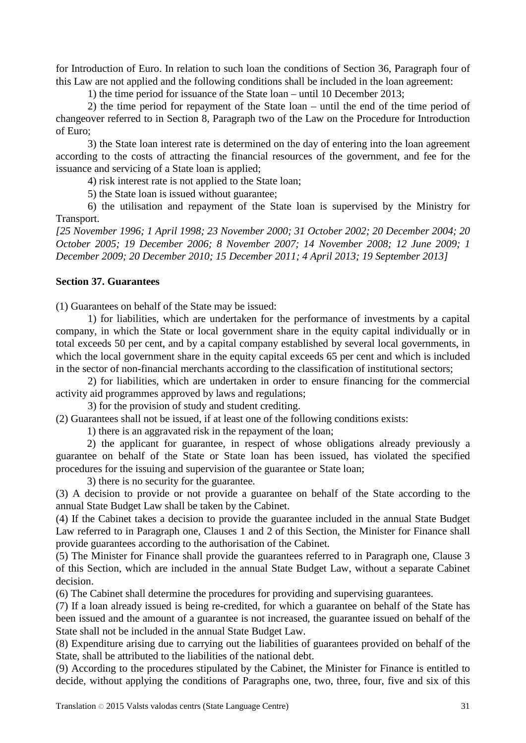for Introduction of Euro. In relation to such loan the conditions of Section 36, Paragraph four of this Law are not applied and the following conditions shall be included in the loan agreement:

1) the time period for issuance of the State loan – until 10 December 2013;

2) the time period for repayment of the State loan – until the end of the time period of changeover referred to in Section 8, Paragraph two of the Law on the Procedure for Introduction of Euro;

3) the State loan interest rate is determined on the day of entering into the loan agreement according to the costs of attracting the financial resources of the government, and fee for the issuance and servicing of a State loan is applied;

4) risk interest rate is not applied to the State loan;

5) the State loan is issued without guarantee;

6) the utilisation and repayment of the State loan is supervised by the Ministry for Transport.

*[25 November 1996; 1 April 1998; 23 November 2000; 31 October 2002; 20 December 2004; 20 October 2005; 19 December 2006; 8 November 2007; 14 November 2008; 12 June 2009; 1 December 2009; 20 December 2010; 15 December 2011; 4 April 2013; 19 September 2013]*

## **Section 37. Guarantees**

(1) Guarantees on behalf of the State may be issued:

1) for liabilities, which are undertaken for the performance of investments by a capital company, in which the State or local government share in the equity capital individually or in total exceeds 50 per cent, and by a capital company established by several local governments, in which the local government share in the equity capital exceeds 65 per cent and which is included in the sector of non-financial merchants according to the classification of institutional sectors;

2) for liabilities, which are undertaken in order to ensure financing for the commercial activity aid programmes approved by laws and regulations;

3) for the provision of study and student crediting.

(2) Guarantees shall not be issued, if at least one of the following conditions exists:

1) there is an aggravated risk in the repayment of the loan;

2) the applicant for guarantee, in respect of whose obligations already previously a guarantee on behalf of the State or State loan has been issued, has violated the specified procedures for the issuing and supervision of the guarantee or State loan;

3) there is no security for the guarantee.

(3) A decision to provide or not provide a guarantee on behalf of the State according to the annual State Budget Law shall be taken by the Cabinet.

(4) If the Cabinet takes a decision to provide the guarantee included in the annual State Budget Law referred to in Paragraph one, Clauses 1 and 2 of this Section, the Minister for Finance shall provide guarantees according to the authorisation of the Cabinet.

(5) The Minister for Finance shall provide the guarantees referred to in Paragraph one, Clause 3 of this Section, which are included in the annual State Budget Law, without a separate Cabinet decision.

(6) The Cabinet shall determine the procedures for providing and supervising guarantees.

(7) If a loan already issued is being re-credited, for which a guarantee on behalf of the State has been issued and the amount of a guarantee is not increased, the guarantee issued on behalf of the State shall not be included in the annual State Budget Law.

(8) Expenditure arising due to carrying out the liabilities of guarantees provided on behalf of the State, shall be attributed to the liabilities of the national debt.

(9) According to the procedures stipulated by the Cabinet, the Minister for Finance is entitled to decide, without applying the conditions of Paragraphs one, two, three, four, five and six of this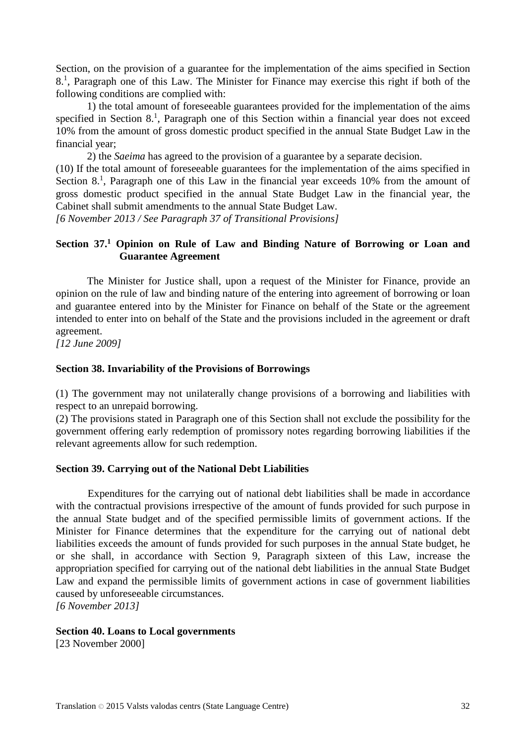Section, on the provision of a guarantee for the implementation of the aims specified in Section 8. 1 , Paragraph one of this Law. The Minister for Finance may exercise this right if both of the following conditions are complied with:

1) the total amount of foreseeable guarantees provided for the implementation of the aims specified in Section 8.<sup>1</sup>, Paragraph one of this Section within a financial year does not exceed 10% from the amount of gross domestic product specified in the annual State Budget Law in the financial year;

2) the *Saeima* has agreed to the provision of a guarantee by a separate decision.

(10) If the total amount of foreseeable guarantees for the implementation of the aims specified in Section 8.<sup>1</sup>, Paragraph one of this Law in the financial year exceeds 10% from the amount of gross domestic product specified in the annual State Budget Law in the financial year, the Cabinet shall submit amendments to the annual State Budget Law.

*[6 November 2013 / See Paragraph 37 of Transitional Provisions]*

## **Section 37. <sup>1</sup> Opinion on Rule of Law and Binding Nature of Borrowing or Loan and Guarantee Agreement**

The Minister for Justice shall, upon a request of the Minister for Finance, provide an opinion on the rule of law and binding nature of the entering into agreement of borrowing or loan and guarantee entered into by the Minister for Finance on behalf of the State or the agreement intended to enter into on behalf of the State and the provisions included in the agreement or draft agreement.

*[12 June 2009]*

#### **Section 38. Invariability of the Provisions of Borrowings**

(1) The government may not unilaterally change provisions of a borrowing and liabilities with respect to an unrepaid borrowing.

(2) The provisions stated in Paragraph one of this Section shall not exclude the possibility for the government offering early redemption of promissory notes regarding borrowing liabilities if the relevant agreements allow for such redemption.

#### **Section 39. Carrying out of the National Debt Liabilities**

Expenditures for the carrying out of national debt liabilities shall be made in accordance with the contractual provisions irrespective of the amount of funds provided for such purpose in the annual State budget and of the specified permissible limits of government actions. If the Minister for Finance determines that the expenditure for the carrying out of national debt liabilities exceeds the amount of funds provided for such purposes in the annual State budget, he or she shall, in accordance with Section 9, Paragraph sixteen of this Law, increase the appropriation specified for carrying out of the national debt liabilities in the annual State Budget Law and expand the permissible limits of government actions in case of government liabilities caused by unforeseeable circumstances.

*[6 November 2013]*

### **Section 40. Loans to Local governments**

[23 November 2000]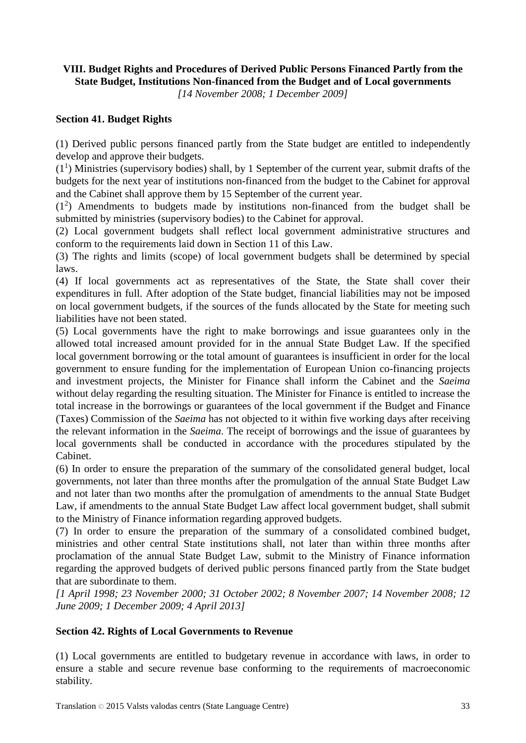## **VIII. Budget Rights and Procedures of Derived Public Persons Financed Partly from the State Budget, Institutions Non-financed from the Budget and of Local governments**

*[14 November 2008; 1 December 2009]*

# **Section 41. Budget Rights**

(1) Derived public persons financed partly from the State budget are entitled to independently develop and approve their budgets.

 $(1<sup>1</sup>)$  Ministries (supervisory bodies) shall, by 1 September of the current year, submit drafts of the budgets for the next year of institutions non-financed from the budget to the Cabinet for approval and the Cabinet shall approve them by 15 September of the current year.

 $(1<sup>2</sup>)$  Amendments to budgets made by institutions non-financed from the budget shall be submitted by ministries (supervisory bodies) to the Cabinet for approval.

(2) Local government budgets shall reflect local government administrative structures and conform to the requirements laid down in Section 11 of this Law.

(3) The rights and limits (scope) of local government budgets shall be determined by special laws.

(4) If local governments act as representatives of the State, the State shall cover their expenditures in full. After adoption of the State budget, financial liabilities may not be imposed on local government budgets, if the sources of the funds allocated by the State for meeting such liabilities have not been stated.

(5) Local governments have the right to make borrowings and issue guarantees only in the allowed total increased amount provided for in the annual State Budget Law. If the specified local government borrowing or the total amount of guarantees is insufficient in order for the local government to ensure funding for the implementation of European Union co-financing projects and investment projects, the Minister for Finance shall inform the Cabinet and the *Saeima* without delay regarding the resulting situation. The Minister for Finance is entitled to increase the total increase in the borrowings or guarantees of the local government if the Budget and Finance (Taxes) Commission of the *Saeima* has not objected to it within five working days after receiving the relevant information in the *Saeima*. The receipt of borrowings and the issue of guarantees by local governments shall be conducted in accordance with the procedures stipulated by the Cabinet.

(6) In order to ensure the preparation of the summary of the consolidated general budget, local governments, not later than three months after the promulgation of the annual State Budget Law and not later than two months after the promulgation of amendments to the annual State Budget Law, if amendments to the annual State Budget Law affect local government budget, shall submit to the Ministry of Finance information regarding approved budgets.

(7) In order to ensure the preparation of the summary of a consolidated combined budget, ministries and other central State institutions shall, not later than within three months after proclamation of the annual State Budget Law, submit to the Ministry of Finance information regarding the approved budgets of derived public persons financed partly from the State budget that are subordinate to them.

*[1 April 1998; 23 November 2000; 31 October 2002; 8 November 2007; 14 November 2008; 12 June 2009; 1 December 2009; 4 April 2013]*

## **Section 42. Rights of Local Governments to Revenue**

(1) Local governments are entitled to budgetary revenue in accordance with laws, in order to ensure a stable and secure revenue base conforming to the requirements of macroeconomic stability.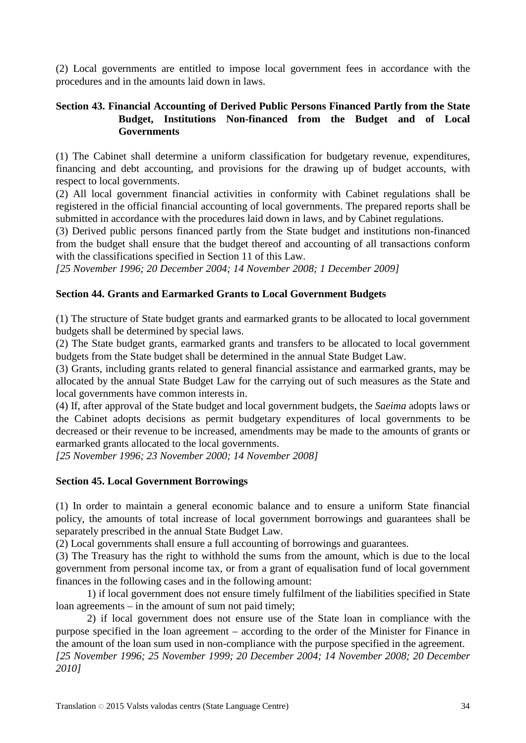(2) Local governments are entitled to impose local government fees in accordance with the procedures and in the amounts laid down in laws.

## **Section 43. Financial Accounting of Derived Public Persons Financed Partly from the State Budget, Institutions Non-financed from the Budget and of Local Governments**

(1) The Cabinet shall determine a uniform classification for budgetary revenue, expenditures, financing and debt accounting, and provisions for the drawing up of budget accounts, with respect to local governments.

(2) All local government financial activities in conformity with Cabinet regulations shall be registered in the official financial accounting of local governments. The prepared reports shall be submitted in accordance with the procedures laid down in laws, and by Cabinet regulations.

(3) Derived public persons financed partly from the State budget and institutions non-financed from the budget shall ensure that the budget thereof and accounting of all transactions conform with the classifications specified in Section 11 of this Law.

*[25 November 1996; 20 December 2004; 14 November 2008; 1 December 2009]*

# **Section 44. Grants and Earmarked Grants to Local Government Budgets**

(1) The structure of State budget grants and earmarked grants to be allocated to local government budgets shall be determined by special laws.

(2) The State budget grants, earmarked grants and transfers to be allocated to local government budgets from the State budget shall be determined in the annual State Budget Law.

(3) Grants, including grants related to general financial assistance and earmarked grants, may be allocated by the annual State Budget Law for the carrying out of such measures as the State and local governments have common interests in.

(4) If, after approval of the State budget and local government budgets, the *Saeima* adopts laws or the Cabinet adopts decisions as permit budgetary expenditures of local governments to be decreased or their revenue to be increased, amendments may be made to the amounts of grants or earmarked grants allocated to the local governments.

*[25 November 1996; 23 November 2000; 14 November 2008]*

## **Section 45. Local Government Borrowings**

(1) In order to maintain a general economic balance and to ensure a uniform State financial policy, the amounts of total increase of local government borrowings and guarantees shall be separately prescribed in the annual State Budget Law.

(2) Local governments shall ensure a full accounting of borrowings and guarantees.

(3) The Treasury has the right to withhold the sums from the amount, which is due to the local government from personal income tax, or from a grant of equalisation fund of local government finances in the following cases and in the following amount:

1) if local government does not ensure timely fulfilment of the liabilities specified in State loan agreements – in the amount of sum not paid timely;

2) if local government does not ensure use of the State loan in compliance with the purpose specified in the loan agreement – according to the order of the Minister for Finance in the amount of the loan sum used in non-compliance with the purpose specified in the agreement. *[25 November 1996; 25 November 1999; 20 December 2004; 14 November 2008; 20 December 2010]*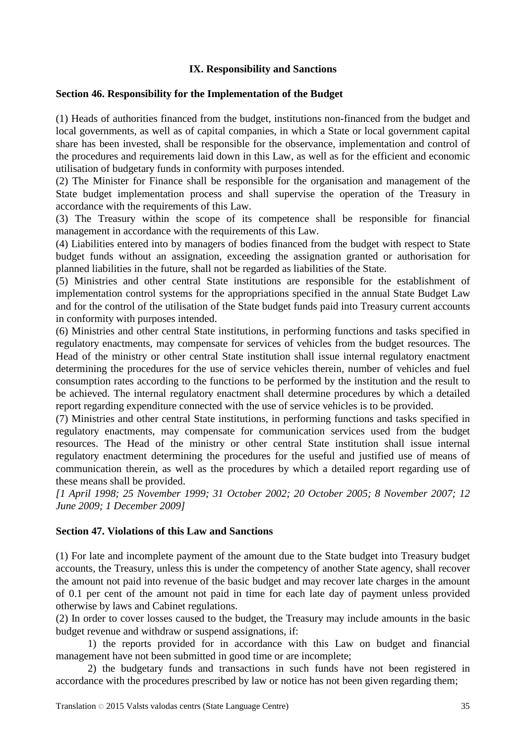## **IX. Responsibility and Sanctions**

## **Section 46. Responsibility for the Implementation of the Budget**

(1) Heads of authorities financed from the budget, institutions non-financed from the budget and local governments, as well as of capital companies, in which a State or local government capital share has been invested, shall be responsible for the observance, implementation and control of the procedures and requirements laid down in this Law, as well as for the efficient and economic utilisation of budgetary funds in conformity with purposes intended.

(2) The Minister for Finance shall be responsible for the organisation and management of the State budget implementation process and shall supervise the operation of the Treasury in accordance with the requirements of this Law.

(3) The Treasury within the scope of its competence shall be responsible for financial management in accordance with the requirements of this Law.

(4) Liabilities entered into by managers of bodies financed from the budget with respect to State budget funds without an assignation, exceeding the assignation granted or authorisation for planned liabilities in the future, shall not be regarded as liabilities of the State.

(5) Ministries and other central State institutions are responsible for the establishment of implementation control systems for the appropriations specified in the annual State Budget Law and for the control of the utilisation of the State budget funds paid into Treasury current accounts in conformity with purposes intended.

(6) Ministries and other central State institutions, in performing functions and tasks specified in regulatory enactments, may compensate for services of vehicles from the budget resources. The Head of the ministry or other central State institution shall issue internal regulatory enactment determining the procedures for the use of service vehicles therein, number of vehicles and fuel consumption rates according to the functions to be performed by the institution and the result to be achieved. The internal regulatory enactment shall determine procedures by which a detailed report regarding expenditure connected with the use of service vehicles is to be provided.

(7) Ministries and other central State institutions, in performing functions and tasks specified in regulatory enactments, may compensate for communication services used from the budget resources. The Head of the ministry or other central State institution shall issue internal regulatory enactment determining the procedures for the useful and justified use of means of communication therein, as well as the procedures by which a detailed report regarding use of these means shall be provided.

*[1 April 1998; 25 November 1999; 31 October 2002; 20 October 2005; 8 November 2007; 12 June 2009; 1 December 2009]*

# **Section 47. Violations of this Law and Sanctions**

(1) For late and incomplete payment of the amount due to the State budget into Treasury budget accounts, the Treasury, unless this is under the competency of another State agency, shall recover the amount not paid into revenue of the basic budget and may recover late charges in the amount of 0.1 per cent of the amount not paid in time for each late day of payment unless provided otherwise by laws and Cabinet regulations.

(2) In order to cover losses caused to the budget, the Treasury may include amounts in the basic budget revenue and withdraw or suspend assignations, if:

1) the reports provided for in accordance with this Law on budget and financial management have not been submitted in good time or are incomplete;

2) the budgetary funds and transactions in such funds have not been registered in accordance with the procedures prescribed by law or notice has not been given regarding them;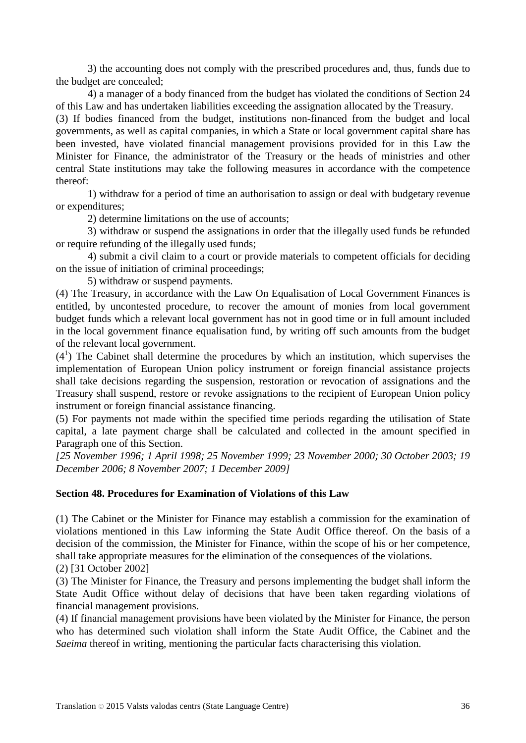3) the accounting does not comply with the prescribed procedures and, thus, funds due to the budget are concealed;

4) a manager of a body financed from the budget has violated the conditions of Section 24 of this Law and has undertaken liabilities exceeding the assignation allocated by the Treasury.

(3) If bodies financed from the budget, institutions non-financed from the budget and local governments, as well as capital companies, in which a State or local government capital share has been invested, have violated financial management provisions provided for in this Law the Minister for Finance, the administrator of the Treasury or the heads of ministries and other central State institutions may take the following measures in accordance with the competence thereof:

1) withdraw for a period of time an authorisation to assign or deal with budgetary revenue or expenditures;

2) determine limitations on the use of accounts;

3) withdraw or suspend the assignations in order that the illegally used funds be refunded or require refunding of the illegally used funds;

4) submit a civil claim to a court or provide materials to competent officials for deciding on the issue of initiation of criminal proceedings;

5) withdraw or suspend payments.

(4) The Treasury, in accordance with the Law On Equalisation of Local Government Finances is entitled, by uncontested procedure, to recover the amount of monies from local government budget funds which a relevant local government has not in good time or in full amount included in the local government finance equalisation fund, by writing off such amounts from the budget of the relevant local government.

 $(4<sup>1</sup>)$  The Cabinet shall determine the procedures by which an institution, which supervises the implementation of European Union policy instrument or foreign financial assistance projects shall take decisions regarding the suspension, restoration or revocation of assignations and the Treasury shall suspend, restore or revoke assignations to the recipient of European Union policy instrument or foreign financial assistance financing.

(5) For payments not made within the specified time periods regarding the utilisation of State capital, a late payment charge shall be calculated and collected in the amount specified in Paragraph one of this Section.

*[25 November 1996; 1 April 1998; 25 November 1999; 23 November 2000; 30 October 2003; 19 December 2006; 8 November 2007; 1 December 2009]*

## **Section 48. Procedures for Examination of Violations of this Law**

(1) The Cabinet or the Minister for Finance may establish a commission for the examination of violations mentioned in this Law informing the State Audit Office thereof. On the basis of a decision of the commission, the Minister for Finance, within the scope of his or her competence, shall take appropriate measures for the elimination of the consequences of the violations.

(2) [31 October 2002]

(3) The Minister for Finance, the Treasury and persons implementing the budget shall inform the State Audit Office without delay of decisions that have been taken regarding violations of financial management provisions.

(4) If financial management provisions have been violated by the Minister for Finance, the person who has determined such violation shall inform the State Audit Office, the Cabinet and the *Saeima* thereof in writing, mentioning the particular facts characterising this violation.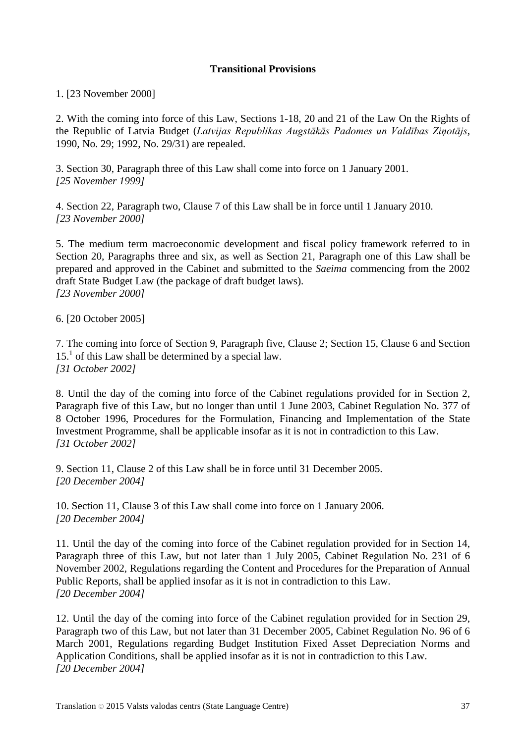## **Transitional Provisions**

1. [23 November 2000]

2. With the coming into force of this Law, Sections 1-18, 20 and 21 of the Law On the Rights of the Republic of Latvia Budget (*Latvijas Republikas Augstākās Padomes un Valdības Ziņotājs*, 1990, No. 29; 1992, No. 29/31) are repealed.

3. Section 30, Paragraph three of this Law shall come into force on 1 January 2001. *[25 November 1999]*

4. Section 22, Paragraph two, Clause 7 of this Law shall be in force until 1 January 2010. *[23 November 2000]*

5. The medium term macroeconomic development and fiscal policy framework referred to in Section 20, Paragraphs three and six, as well as Section 21, Paragraph one of this Law shall be prepared and approved in the Cabinet and submitted to the *Saeima* commencing from the 2002 draft State Budget Law (the package of draft budget laws). *[23 November 2000]*

6. [20 October 2005]

7. The coming into force of Section 9, Paragraph five, Clause 2; Section 15, Clause 6 and Section  $15<sup>1</sup>$  of this Law shall be determined by a special law. *[31 October 2002]*

8. Until the day of the coming into force of the Cabinet regulations provided for in Section 2, Paragraph five of this Law, but no longer than until 1 June 2003, Cabinet Regulation No. 377 of 8 October 1996, Procedures for the Formulation, Financing and Implementation of the State Investment Programme, shall be applicable insofar as it is not in contradiction to this Law. *[31 October 2002]*

9. Section 11, Clause 2 of this Law shall be in force until 31 December 2005. *[20 December 2004]*

10. Section 11, Clause 3 of this Law shall come into force on 1 January 2006. *[20 December 2004]*

11. Until the day of the coming into force of the Cabinet regulation provided for in Section 14, Paragraph three of this Law, but not later than 1 July 2005, Cabinet Regulation No. 231 of 6 November 2002, Regulations regarding the Content and Procedures for the Preparation of Annual Public Reports, shall be applied insofar as it is not in contradiction to this Law. *[20 December 2004]*

12. Until the day of the coming into force of the Cabinet regulation provided for in Section 29, Paragraph two of this Law, but not later than 31 December 2005, Cabinet Regulation No. 96 of 6 March 2001, Regulations regarding Budget Institution Fixed Asset Depreciation Norms and Application Conditions, shall be applied insofar as it is not in contradiction to this Law. *[20 December 2004]*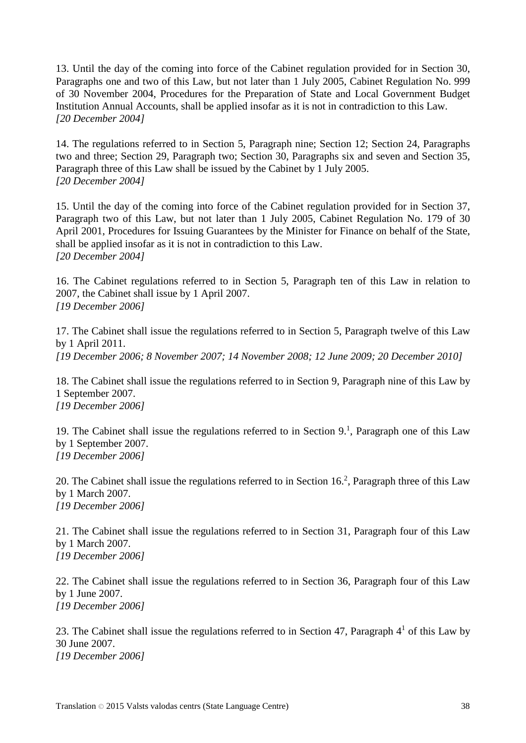13. Until the day of the coming into force of the Cabinet regulation provided for in Section 30, Paragraphs one and two of this Law, but not later than 1 July 2005, Cabinet Regulation No. 999 of 30 November 2004, Procedures for the Preparation of State and Local Government Budget Institution Annual Accounts, shall be applied insofar as it is not in contradiction to this Law. *[20 December 2004]*

14. The regulations referred to in Section 5, Paragraph nine; Section 12; Section 24, Paragraphs two and three; Section 29, Paragraph two; Section 30, Paragraphs six and seven and Section 35, Paragraph three of this Law shall be issued by the Cabinet by 1 July 2005. *[20 December 2004]*

15. Until the day of the coming into force of the Cabinet regulation provided for in Section 37, Paragraph two of this Law, but not later than 1 July 2005, Cabinet Regulation No. 179 of 30 April 2001, Procedures for Issuing Guarantees by the Minister for Finance on behalf of the State, shall be applied insofar as it is not in contradiction to this Law. *[20 December 2004]*

16. The Cabinet regulations referred to in Section 5, Paragraph ten of this Law in relation to 2007, the Cabinet shall issue by 1 April 2007. *[19 December 2006]*

17. The Cabinet shall issue the regulations referred to in Section 5, Paragraph twelve of this Law by 1 April 2011. *[19 December 2006; 8 November 2007; 14 November 2008; 12 June 2009; 20 December 2010]*

18. The Cabinet shall issue the regulations referred to in Section 9, Paragraph nine of this Law by 1 September 2007. *[19 December 2006]*

19. The Cabinet shall issue the regulations referred to in Section 9.<sup>1</sup>, Paragraph one of this Law by 1 September 2007. *[19 December 2006]*

20. The Cabinet shall issue the regulations referred to in Section 16.<sup>2</sup>, Paragraph three of this Law by 1 March 2007. *[19 December 2006]*

21. The Cabinet shall issue the regulations referred to in Section 31, Paragraph four of this Law by 1 March 2007. *[19 December 2006]*

22. The Cabinet shall issue the regulations referred to in Section 36, Paragraph four of this Law by 1 June 2007. *[19 December 2006]*

23. The Cabinet shall issue the regulations referred to in Section 47, Paragraph  $4<sup>1</sup>$  of this Law by 30 June 2007. *[19 December 2006]*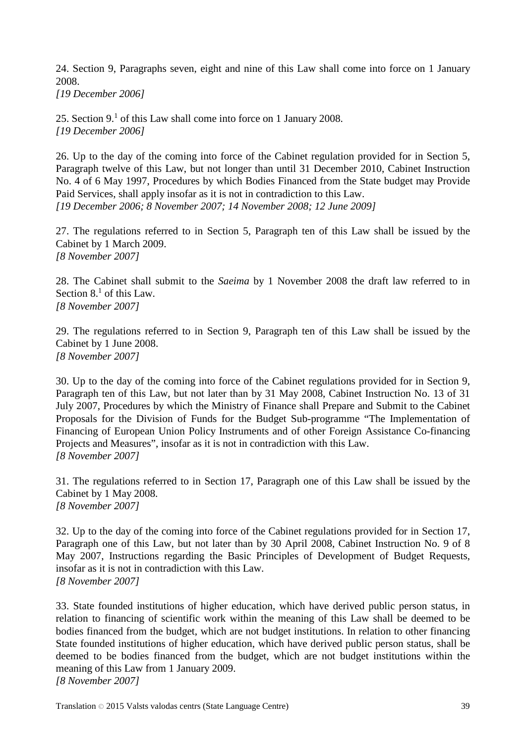24. Section 9, Paragraphs seven, eight and nine of this Law shall come into force on 1 January 2008.

*[19 December 2006]*

25. Section  $9<sup>1</sup>$  of this Law shall come into force on 1 January 2008. *[19 December 2006]*

26. Up to the day of the coming into force of the Cabinet regulation provided for in Section 5, Paragraph twelve of this Law, but not longer than until 31 December 2010, Cabinet Instruction No. 4 of 6 May 1997, Procedures by which Bodies Financed from the State budget may Provide Paid Services, shall apply insofar as it is not in contradiction to this Law. *[19 December 2006; 8 November 2007; 14 November 2008; 12 June 2009]*

27. The regulations referred to in Section 5, Paragraph ten of this Law shall be issued by the Cabinet by 1 March 2009. *[8 November 2007]*

28. The Cabinet shall submit to the *Saeima* by 1 November 2008 the draft law referred to in Section  $8<sup>1</sup>$  of this Law. *[8 November 2007]*

29. The regulations referred to in Section 9, Paragraph ten of this Law shall be issued by the Cabinet by 1 June 2008. *[8 November 2007]*

30. Up to the day of the coming into force of the Cabinet regulations provided for in Section 9, Paragraph ten of this Law, but not later than by 31 May 2008, Cabinet Instruction No. 13 of 31 July 2007, Procedures by which the Ministry of Finance shall Prepare and Submit to the Cabinet Proposals for the Division of Funds for the Budget Sub-programme "The Implementation of Financing of European Union Policy Instruments and of other Foreign Assistance Co-financing Projects and Measures", insofar as it is not in contradiction with this Law. *[8 November 2007]*

31. The regulations referred to in Section 17, Paragraph one of this Law shall be issued by the Cabinet by 1 May 2008. *[8 November 2007]*

32. Up to the day of the coming into force of the Cabinet regulations provided for in Section 17, Paragraph one of this Law, but not later than by 30 April 2008, Cabinet Instruction No. 9 of 8 May 2007, Instructions regarding the Basic Principles of Development of Budget Requests, insofar as it is not in contradiction with this Law. *[8 November 2007]*

33. State founded institutions of higher education, which have derived public person status, in relation to financing of scientific work within the meaning of this Law shall be deemed to be bodies financed from the budget, which are not budget institutions. In relation to other financing State founded institutions of higher education, which have derived public person status, shall be deemed to be bodies financed from the budget, which are not budget institutions within the meaning of this Law from 1 January 2009. *[8 November 2007]*

Translation © 2015 Valsts valodas centrs (State Language Centre) 39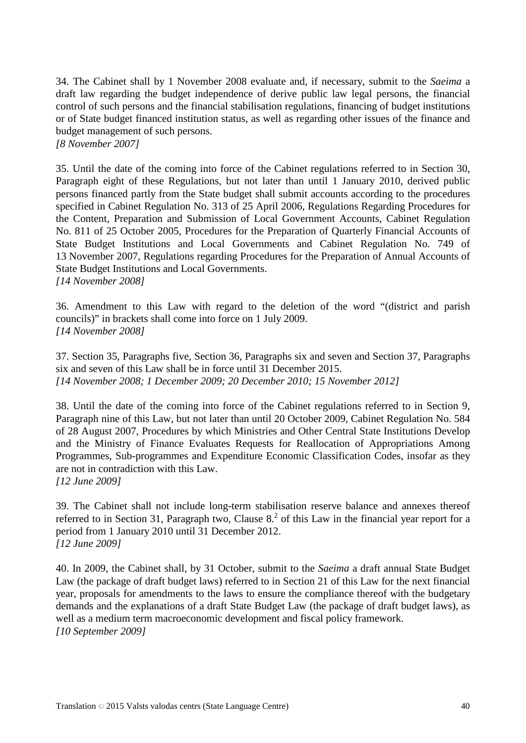34. The Cabinet shall by 1 November 2008 evaluate and, if necessary, submit to the *Saeima* a draft law regarding the budget independence of derive public law legal persons, the financial control of such persons and the financial stabilisation regulations, financing of budget institutions or of State budget financed institution status, as well as regarding other issues of the finance and budget management of such persons. *[8 November 2007]*

35. Until the date of the coming into force of the Cabinet regulations referred to in Section 30, Paragraph eight of these Regulations, but not later than until 1 January 2010, derived public persons financed partly from the State budget shall submit accounts according to the procedures specified in Cabinet Regulation No. 313 of 25 April 2006, Regulations Regarding Procedures for the Content, Preparation and Submission of Local Government Accounts, Cabinet Regulation No. 811 of 25 October 2005, Procedures for the Preparation of Quarterly Financial Accounts of State Budget Institutions and Local Governments and Cabinet Regulation No. 749 of 13 November 2007, Regulations regarding Procedures for the Preparation of Annual Accounts of State Budget Institutions and Local Governments. *[14 November 2008]*

36. Amendment to this Law with regard to the deletion of the word "(district and parish councils)" in brackets shall come into force on 1 July 2009. *[14 November 2008]*

37. Section 35, Paragraphs five, Section 36, Paragraphs six and seven and Section 37, Paragraphs six and seven of this Law shall be in force until 31 December 2015. *[14 November 2008; 1 December 2009; 20 December 2010; 15 November 2012]*

38. Until the date of the coming into force of the Cabinet regulations referred to in Section 9, Paragraph nine of this Law, but not later than until 20 October 2009, Cabinet Regulation No. 584 of 28 August 2007, Procedures by which Ministries and Other Central State Institutions Develop and the Ministry of Finance Evaluates Requests for Reallocation of Appropriations Among Programmes, Sub-programmes and Expenditure Economic Classification Codes, insofar as they are not in contradiction with this Law. *[12 June 2009]*

39. The Cabinet shall not include long-term stabilisation reserve balance and annexes thereof referred to in Section 31, Paragraph two, Clause  $8<sup>2</sup>$  of this Law in the financial year report for a period from 1 January 2010 until 31 December 2012. *[12 June 2009]*

40. In 2009, the Cabinet shall, by 31 October, submit to the *Saeima* a draft annual State Budget Law (the package of draft budget laws) referred to in Section 21 of this Law for the next financial year, proposals for amendments to the laws to ensure the compliance thereof with the budgetary demands and the explanations of a draft State Budget Law (the package of draft budget laws), as well as a medium term macroeconomic development and fiscal policy framework. *[10 September 2009]*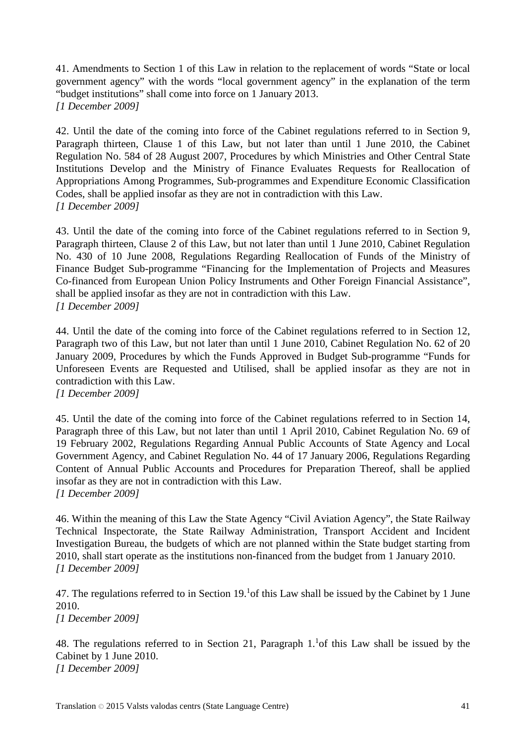41. Amendments to Section 1 of this Law in relation to the replacement of words "State or local government agency" with the words "local government agency" in the explanation of the term "budget institutions" shall come into force on 1 January 2013. *[1 December 2009]*

42. Until the date of the coming into force of the Cabinet regulations referred to in Section 9, Paragraph thirteen, Clause 1 of this Law, but not later than until 1 June 2010, the Cabinet Regulation No. 584 of 28 August 2007, Procedures by which Ministries and Other Central State Institutions Develop and the Ministry of Finance Evaluates Requests for Reallocation of Appropriations Among Programmes, Sub-programmes and Expenditure Economic Classification Codes, shall be applied insofar as they are not in contradiction with this Law. *[1 December 2009]*

43. Until the date of the coming into force of the Cabinet regulations referred to in Section 9, Paragraph thirteen, Clause 2 of this Law, but not later than until 1 June 2010, Cabinet Regulation No. 430 of 10 June 2008, Regulations Regarding Reallocation of Funds of the Ministry of Finance Budget Sub-programme "Financing for the Implementation of Projects and Measures Co-financed from European Union Policy Instruments and Other Foreign Financial Assistance", shall be applied insofar as they are not in contradiction with this Law. *[1 December 2009]*

44. Until the date of the coming into force of the Cabinet regulations referred to in Section 12, Paragraph two of this Law, but not later than until 1 June 2010, Cabinet Regulation No. 62 of 20 January 2009, Procedures by which the Funds Approved in Budget Sub-programme "Funds for Unforeseen Events are Requested and Utilised, shall be applied insofar as they are not in contradiction with this Law.

*[1 December 2009]*

45. Until the date of the coming into force of the Cabinet regulations referred to in Section 14, Paragraph three of this Law, but not later than until 1 April 2010, Cabinet Regulation No. 69 of 19 February 2002, Regulations Regarding Annual Public Accounts of State Agency and Local Government Agency, and Cabinet Regulation No. 44 of 17 January 2006, Regulations Regarding Content of Annual Public Accounts and Procedures for Preparation Thereof, shall be applied insofar as they are not in contradiction with this Law. *[1 December 2009]*

46. Within the meaning of this Law the State Agency "Civil Aviation Agency", the State Railway Technical Inspectorate, the State Railway Administration, Transport Accident and Incident Investigation Bureau, the budgets of which are not planned within the State budget starting from 2010, shall start operate as the institutions non-financed from the budget from 1 January 2010. *[1 December 2009]*

47. The regulations referred to in Section  $19<sup>1</sup>$  of this Law shall be issued by the Cabinet by 1 June 2010.

*[1 December 2009]*

48. The regulations referred to in Section 21, Paragraph  $1.^1$  of this Law shall be issued by the Cabinet by 1 June 2010. *[1 December 2009]*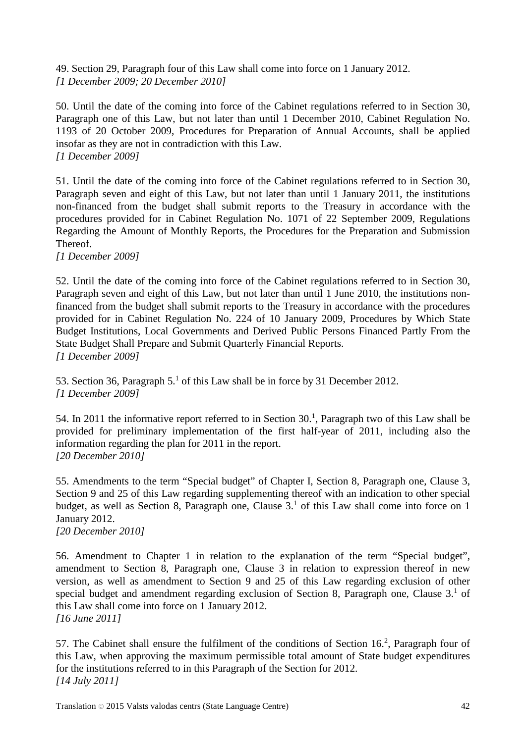49. Section 29, Paragraph four of this Law shall come into force on 1 January 2012. *[1 December 2009; 20 December 2010]*

50. Until the date of the coming into force of the Cabinet regulations referred to in Section 30, Paragraph one of this Law, but not later than until 1 December 2010, Cabinet Regulation No. 1193 of 20 October 2009, Procedures for Preparation of Annual Accounts, shall be applied insofar as they are not in contradiction with this Law. *[1 December 2009]*

51. Until the date of the coming into force of the Cabinet regulations referred to in Section 30, Paragraph seven and eight of this Law, but not later than until 1 January 2011, the institutions non-financed from the budget shall submit reports to the Treasury in accordance with the procedures provided for in Cabinet Regulation No. 1071 of 22 September 2009, Regulations Regarding the Amount of Monthly Reports, the Procedures for the Preparation and Submission Thereof.

*[1 December 2009]*

52. Until the date of the coming into force of the Cabinet regulations referred to in Section 30, Paragraph seven and eight of this Law, but not later than until 1 June 2010, the institutions nonfinanced from the budget shall submit reports to the Treasury in accordance with the procedures provided for in Cabinet Regulation No. 224 of 10 January 2009, Procedures by Which State Budget Institutions, Local Governments and Derived Public Persons Financed Partly From the State Budget Shall Prepare and Submit Quarterly Financial Reports. *[1 December 2009]*

53. Section 36, Paragraph  $5<sup>1</sup>$  of this Law shall be in force by 31 December 2012. *[1 December 2009]*

54. In 2011 the informative report referred to in Section 30. 1 , Paragraph two of this Law shall be provided for preliminary implementation of the first half-year of 2011, including also the information regarding the plan for 2011 in the report. *[20 December 2010]*

55. Amendments to the term "Special budget" of Chapter I, Section 8, Paragraph one, Clause 3, Section 9 and 25 of this Law regarding supplementing thereof with an indication to other special budget, as well as Section 8, Paragraph one, Clause 3.<sup>1</sup> of this Law shall come into force on 1 January 2012.

*[20 December 2010]*

56. Amendment to Chapter 1 in relation to the explanation of the term "Special budget", amendment to Section 8, Paragraph one, Clause 3 in relation to expression thereof in new version, as well as amendment to Section 9 and 25 of this Law regarding exclusion of other special budget and amendment regarding exclusion of Section 8, Paragraph one, Clause 3.<sup>1</sup> of this Law shall come into force on 1 January 2012. *[16 June 2011]*

57. The Cabinet shall ensure the fulfilment of the conditions of Section  $16<sup>2</sup>$ , Paragraph four of this Law, when approving the maximum permissible total amount of State budget expenditures for the institutions referred to in this Paragraph of the Section for 2012. *[14 July 2011]*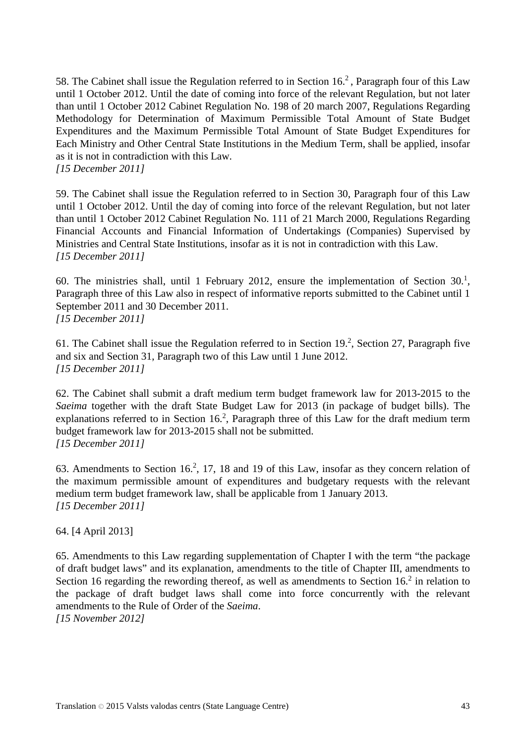58. The Cabinet shall issue the Regulation referred to in Section  $16<sup>2</sup>$ . Paragraph four of this Law until 1 October 2012. Until the date of coming into force of the relevant Regulation, but not later than until 1 October 2012 Cabinet Regulation No. 198 of 20 march 2007, Regulations Regarding Methodology for Determination of Maximum Permissible Total Amount of State Budget Expenditures and the Maximum Permissible Total Amount of State Budget Expenditures for Each Ministry and Other Central State Institutions in the Medium Term, shall be applied, insofar as it is not in contradiction with this Law. *[15 December 2011]*

59. The Cabinet shall issue the Regulation referred to in Section 30, Paragraph four of this Law until 1 October 2012. Until the day of coming into force of the relevant Regulation, but not later than until 1 October 2012 Cabinet Regulation No. 111 of 21 March 2000, Regulations Regarding Financial Accounts and Financial Information of Undertakings (Companies) Supervised by Ministries and Central State Institutions, insofar as it is not in contradiction with this Law. *[15 December 2011]*

60. The ministries shall, until 1 February 2012, ensure the implementation of Section  $30<sup>1</sup>$ , Paragraph three of this Law also in respect of informative reports submitted to the Cabinet until 1 September 2011 and 30 December 2011. *[15 December 2011]*

61. The Cabinet shall issue the Regulation referred to in Section 19.<sup>2</sup>, Section 27, Paragraph five and six and Section 31, Paragraph two of this Law until 1 June 2012. *[15 December 2011]*

62. The Cabinet shall submit a draft medium term budget framework law for 2013-2015 to the *Saeima* together with the draft State Budget Law for 2013 (in package of budget bills). The explanations referred to in Section  $16<sup>2</sup>$ , Paragraph three of this Law for the draft medium term budget framework law for 2013-2015 shall not be submitted. *[15 December 2011]*

63. Amendments to Section  $16<sup>2</sup>$ , 17, 18 and 19 of this Law, insofar as they concern relation of the maximum permissible amount of expenditures and budgetary requests with the relevant medium term budget framework law, shall be applicable from 1 January 2013. *[15 December 2011]*

64. [4 April 2013]

65. Amendments to this Law regarding supplementation of Chapter I with the term "the package of draft budget laws" and its explanation, amendments to the title of Chapter III, amendments to Section 16 regarding the rewording thereof, as well as amendments to Section  $16<sup>2</sup>$  in relation to the package of draft budget laws shall come into force concurrently with the relevant amendments to the Rule of Order of the *Saeima*. *[15 November 2012]*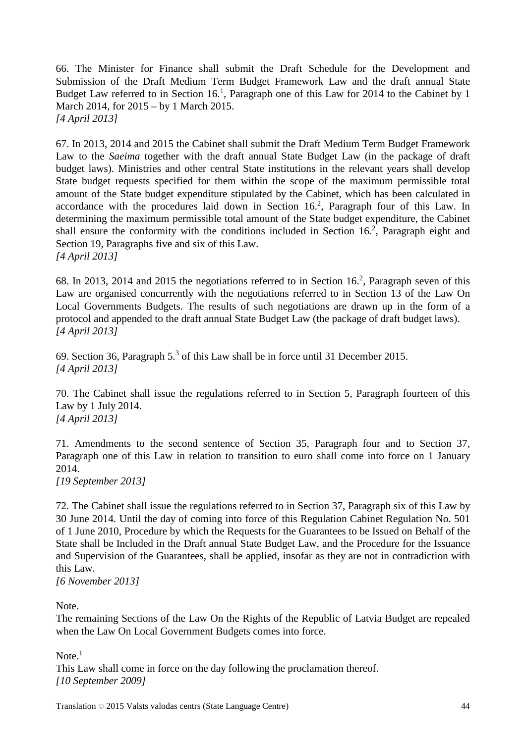66. The Minister for Finance shall submit the Draft Schedule for the Development and Submission of the Draft Medium Term Budget Framework Law and the draft annual State Budget Law referred to in Section 16.<sup>1</sup>, Paragraph one of this Law for 2014 to the Cabinet by 1 March 2014, for 2015 – by 1 March 2015. *[4 April 2013]*

67. In 2013, 2014 and 2015 the Cabinet shall submit the Draft Medium Term Budget Framework Law to the *Saeima* together with the draft annual State Budget Law (in the package of draft budget laws). Ministries and other central State institutions in the relevant years shall develop State budget requests specified for them within the scope of the maximum permissible total amount of the State budget expenditure stipulated by the Cabinet, which has been calculated in accordance with the procedures laid down in Section  $16<sup>2</sup>$ , Paragraph four of this Law. In determining the maximum permissible total amount of the State budget expenditure, the Cabinet shall ensure the conformity with the conditions included in Section  $16<sup>2</sup>$ , Paragraph eight and Section 19, Paragraphs five and six of this Law. *[4 April 2013]*

68. In 2013, 2014 and 2015 the negotiations referred to in Section 16.<sup>2</sup>, Paragraph seven of this Law are organised concurrently with the negotiations referred to in Section 13 of the Law On Local Governments Budgets. The results of such negotiations are drawn up in the form of a protocol and appended to the draft annual State Budget Law (the package of draft budget laws). *[4 April 2013]*

69. Section 36, Paragraph 5.3 of this Law shall be in force until 31 December 2015. *[4 April 2013]*

70. The Cabinet shall issue the regulations referred to in Section 5, Paragraph fourteen of this Law by 1 July 2014. *[4 April 2013]*

71. Amendments to the second sentence of Section 35, Paragraph four and to Section 37, Paragraph one of this Law in relation to transition to euro shall come into force on 1 January 2014.

*[19 September 2013]*

72. The Cabinet shall issue the regulations referred to in Section 37, Paragraph six of this Law by 30 June 2014. Until the day of coming into force of this Regulation Cabinet Regulation No. 501 of 1 June 2010, Procedure by which the Requests for the Guarantees to be Issued on Behalf of the State shall be Included in the Draft annual State Budget Law, and the Procedure for the Issuance and Supervision of the Guarantees, shall be applied, insofar as they are not in contradiction with this Law.

*[6 November 2013]*

Note.

The remaining Sections of the Law On the Rights of the Republic of Latvia Budget are repealed when the Law On Local Government Budgets comes into force.

Note $<sup>1</sup>$ </sup>

This Law shall come in force on the day following the proclamation thereof. *[10 September 2009]*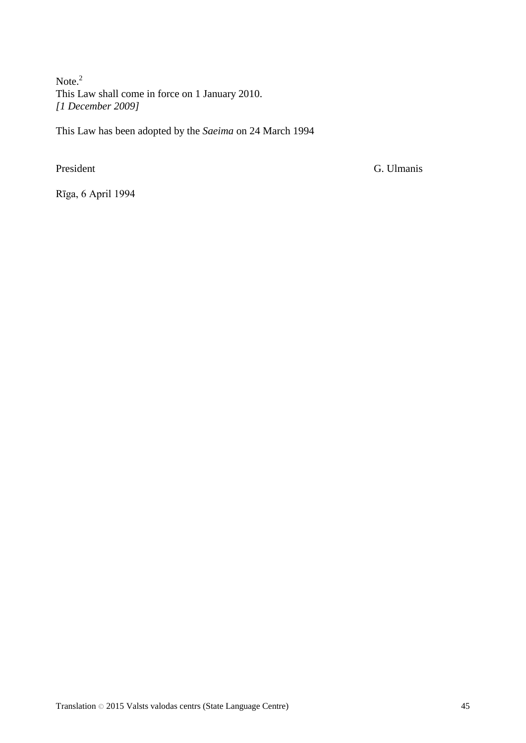Note.<sup>2</sup> This Law shall come in force on 1 January 2010. *[1 December 2009]*

This Law has been adopted by the *Saeima* on 24 March 1994

President G. Ulmanis

Rīga, 6 April 1994